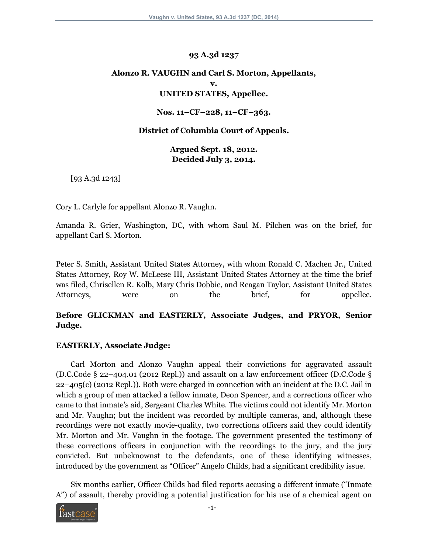#### **93 A.3d 1237**

# **Alonzo R. VAUGHN and Carl S. Morton, Appellants, v. UNITED STATES, Appellee.**

#### **Nos. 11–CF–228, 11–CF–363.**

#### **District of Columbia Court of Appeals.**

**Argued Sept. 18, 2012. Decided July 3, 2014.**

[93 A.3d 1243]

Cory L. Carlyle for appellant Alonzo R. Vaughn.

Amanda R. Grier, Washington, DC, with whom Saul M. Pilchen was on the brief, for appellant Carl S. Morton.

Peter S. Smith, Assistant United States Attorney, with whom Ronald C. Machen Jr., United States Attorney, Roy W. McLeese III, Assistant United States Attorney at the time the brief was filed, Chrisellen R. Kolb, Mary Chris Dobbie, and Reagan Taylor, Assistant United States Attorneys, were on the brief, for appellee.

## **Before GLICKMAN and EASTERLY, Associate Judges, and PRYOR, Senior Judge.**

#### **EASTERLY, Associate Judge:**

Carl Morton and Alonzo Vaughn appeal their convictions for aggravated assault (D.C.Code § 22–404.01 (2012 Repl.)) and assault on a law enforcement officer (D.C.Code § 22–405(c) (2012 Repl.)). Both were charged in connection with an incident at the D.C. Jail in which a group of men attacked a fellow inmate, Deon Spencer, and a corrections officer who came to that inmate's aid, Sergeant Charles White. The victims could not identify Mr. Morton and Mr. Vaughn; but the incident was recorded by multiple cameras, and, although these recordings were not exactly movie-quality, two corrections officers said they could identify Mr. Morton and Mr. Vaughn in the footage. The government presented the testimony of these corrections officers in conjunction with the recordings to the jury, and the jury convicted. But unbeknownst to the defendants, one of these identifying witnesses, introduced by the government as "Officer" Angelo Childs, had a significant credibility issue.

Six months earlier, Officer Childs had filed reports accusing a different inmate ("Inmate A") of assault, thereby providing a potential justification for his use of a chemical agent on

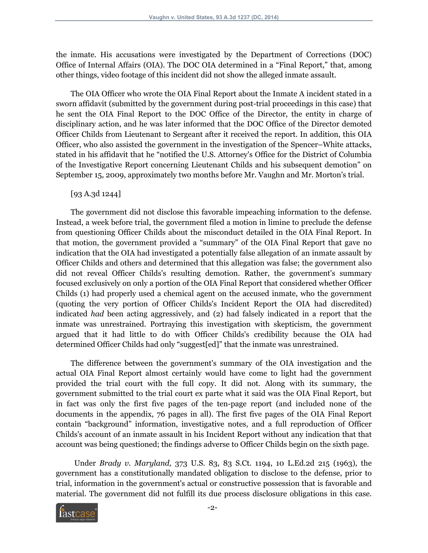the inmate. His accusations were investigated by the Department of Corrections (DOC) Office of Internal Affairs (OIA). The DOC OIA determined in a "Final Report," that, among other things, video footage of this incident did not show the alleged inmate assault.

The OIA Officer who wrote the OIA Final Report about the Inmate A incident stated in a sworn affidavit (submitted by the government during post-trial proceedings in this case) that he sent the OIA Final Report to the DOC Office of the Director, the entity in charge of disciplinary action, and he was later informed that the DOC Office of the Director demoted Officer Childs from Lieutenant to Sergeant after it received the report. In addition, this OIA Officer, who also assisted the government in the investigation of the Spencer–White attacks, stated in his affidavit that he "notified the U.S. Attorney's Office for the District of Columbia of the Investigative Report concerning Lieutenant Childs and his subsequent demotion" on September 15, 2009, approximately two months before Mr. Vaughn and Mr. Morton's trial.

#### [93 A.3d 1244]

The government did not disclose this favorable impeaching information to the defense. Instead, a week before trial, the government filed a motion in limine to preclude the defense from questioning Officer Childs about the misconduct detailed in the OIA Final Report. In that motion, the government provided a "summary" of the OIA Final Report that gave no indication that the OIA had investigated a potentially false allegation of an inmate assault by Officer Childs and others and determined that this allegation was false; the government also did not reveal Officer Childs's resulting demotion. Rather, the government's summary focused exclusively on only a portion of the OIA Final Report that considered whether Officer Childs (1) had properly used a chemical agent on the accused inmate, who the government (quoting the very portion of Officer Childs's Incident Report the OIA had discredited) indicated *had* been acting aggressively, and (2) had falsely indicated in a report that the inmate was unrestrained. Portraying this investigation with skepticism, the government argued that it had little to do with Officer Childs's credibility because the OIA had determined Officer Childs had only "suggest[ed]" that the inmate was unrestrained.

The difference between the government's summary of the OIA investigation and the actual OIA Final Report almost certainly would have come to light had the government provided the trial court with the full copy. It did not. Along with its summary, the government submitted to the trial court ex parte what it said was the OIA Final Report, but in fact was only the first five pages of the ten-page report (and included none of the documents in the appendix, 76 pages in all). The first five pages of the OIA Final Report contain "background" information, investigative notes, and a full reproduction of Officer Childs's account of an inmate assault in his Incident Report without any indication that that account was being questioned; the findings adverse to Officer Childs begin on the sixth page.

Under *Brady v. Maryland,* 373 U.S. 83, 83 S.Ct. 1194, 10 L.Ed.2d 215 (1963), the government has a constitutionally mandated obligation to disclose to the defense, prior to trial, information in the government's actual or constructive possession that is favorable and material. The government did not fulfill its due process disclosure obligations in this case.

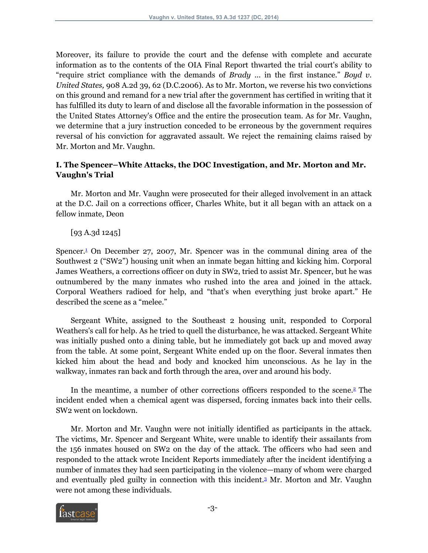Moreover, its failure to provide the court and the defense with complete and accurate information as to the contents of the OIA Final Report thwarted the trial court's ability to "require strict compliance with the demands of *Brady* ... in the first instance." *Boyd v. United States,* 908 A.2d 39, 62 (D.C.2006). As to Mr. Morton, we reverse his two convictions on this ground and remand for a new trial after the government has certified in writing that it has fulfilled its duty to learn of and disclose all the favorable information in the possession of the United States Attorney's Office and the entire the prosecution team. As for Mr. Vaughn, we determine that a jury instruction conceded to be erroneous by the government requires reversal of his conviction for aggravated assault. We reject the remaining claims raised by Mr. Morton and Mr. Vaughn.

## **I. The Spencer–White Attacks, the DOC Investigation, and Mr. Morton and Mr. Vaughn's Trial**

Mr. Morton and Mr. Vaughn were prosecuted for their alleged involvement in an attack at the D.C. Jail on a corrections officer, Charles White, but it all began with an attack on a fellow inmate, Deon

## <span id="page-2-0"></span>[93 A.3d 1245]

Spencer.[1](#page-28-0) On December 27, 2007, Mr. Spencer was in the communal dining area of the Southwest 2 ("SW2") housing unit when an inmate began hitting and kicking him. Corporal James Weathers, a corrections officer on duty in SW2, tried to assist Mr. Spencer, but he was outnumbered by the many inmates who rushed into the area and joined in the attack. Corporal Weathers radioed for help, and "that's when everything just broke apart." He described the scene as a "melee."

Sergeant White, assigned to the Southeast 2 housing unit, responded to Corporal Weathers's call for help. As he tried to quell the disturbance, he was attacked. Sergeant White was initially pushed onto a dining table, but he immediately got back up and moved away from the table. At some point, Sergeant White ended up on the floor. Several inmates then kicked him about the head and body and knocked him unconscious. As he lay in the walkway, inmates ran back and forth through the area, over and around his body.

<span id="page-2-1"></span>In the meantime, a number of other corrections officers responded to the scene.[2](#page-28-1) The incident ended when a chemical agent was dispersed, forcing inmates back into their cells. SW2 went on lockdown.

Mr. Morton and Mr. Vaughn were not initially identified as participants in the attack. The victims, Mr. Spencer and Sergeant White, were unable to identify their assailants from the 156 inmates housed on SW2 on the day of the attack. The officers who had seen and responded to the attack wrote Incident Reports immediately after the incident identifying a number of inmates they had seen participating in the violence—many of whom were charged and eventually pled guilty in connection with this incident.[3](#page-28-2) Mr. Morton and Mr. Vaughn were not among these individuals.

<span id="page-2-2"></span>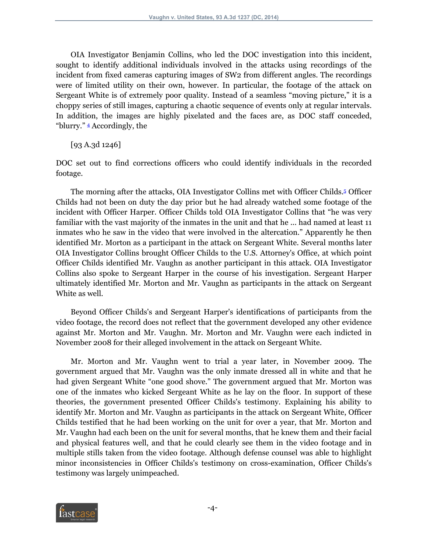OIA Investigator Benjamin Collins, who led the DOC investigation into this incident, sought to identify additional individuals involved in the attacks using recordings of the incident from fixed cameras capturing images of SW2 from different angles. The recordings were of limited utility on their own, however. In particular, the footage of the attack on Sergeant White is of extremely poor quality. Instead of a seamless "moving picture," it is a choppy series of still images, capturing a chaotic sequence of events only at regular intervals. In addition, the images are highly pixelated and the faces are, as DOC staff conceded, "blurry." [4](#page-28-3) Accordingly, the

<span id="page-3-1"></span><span id="page-3-0"></span>[93 A.3d 1246]

DOC set out to find corrections officers who could identify individuals in the recorded footage.

The morning after the attacks, OIA Investigator Collins met with Officer Childs.[5](#page-28-4) Officer Childs had not been on duty the day prior but he had already watched some footage of the incident with Officer Harper. Officer Childs told OIA Investigator Collins that "he was very familiar with the vast majority of the inmates in the unit and that he ... had named at least 11 inmates who he saw in the video that were involved in the altercation." Apparently he then identified Mr. Morton as a participant in the attack on Sergeant White. Several months later OIA Investigator Collins brought Officer Childs to the U.S. Attorney's Office, at which point Officer Childs identified Mr. Vaughn as another participant in this attack. OIA Investigator Collins also spoke to Sergeant Harper in the course of his investigation. Sergeant Harper ultimately identified Mr. Morton and Mr. Vaughn as participants in the attack on Sergeant White as well.

Beyond Officer Childs's and Sergeant Harper's identifications of participants from the video footage, the record does not reflect that the government developed any other evidence against Mr. Morton and Mr. Vaughn. Mr. Morton and Mr. Vaughn were each indicted in November 2008 for their alleged involvement in the attack on Sergeant White.

Mr. Morton and Mr. Vaughn went to trial a year later, in November 2009. The government argued that Mr. Vaughn was the only inmate dressed all in white and that he had given Sergeant White "one good shove." The government argued that Mr. Morton was one of the inmates who kicked Sergeant White as he lay on the floor. In support of these theories, the government presented Officer Childs's testimony. Explaining his ability to identify Mr. Morton and Mr. Vaughn as participants in the attack on Sergeant White, Officer Childs testified that he had been working on the unit for over a year, that Mr. Morton and Mr. Vaughn had each been on the unit for several months, that he knew them and their facial and physical features well, and that he could clearly see them in the video footage and in multiple stills taken from the video footage. Although defense counsel was able to highlight minor inconsistencies in Officer Childs's testimony on cross-examination, Officer Childs's testimony was largely unimpeached.

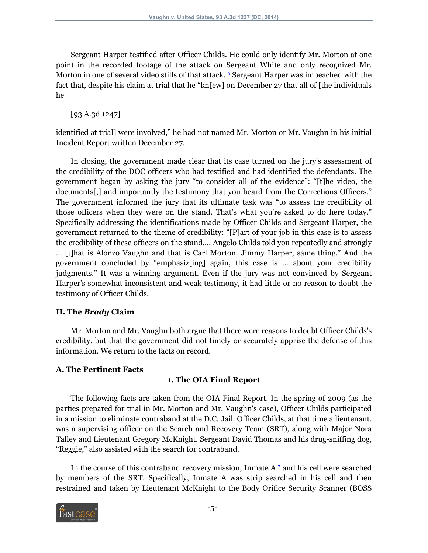Sergeant Harper testified after Officer Childs. He could only identify Mr. Morton at one point in the recorded footage of the attack on Sergeant White and only recognized Mr. Morton in one of several video stills of that attack.  $\epsilon$  Sergeant Harper was impeached with the fact that, despite his claim at trial that he "kn[ew] on December 27 that all of [the individuals he

<span id="page-4-0"></span>[93 A.3d 1247]

identified at trial] were involved," he had not named Mr. Morton or Mr. Vaughn in his initial Incident Report written December 27.

In closing, the government made clear that its case turned on the jury's assessment of the credibility of the DOC officers who had testified and had identified the defendants. The government began by asking the jury "to consider all of the evidence": "[t]he video, the documents[,] and importantly the testimony that you heard from the Corrections Officers." The government informed the jury that its ultimate task was "to assess the credibility of those officers when they were on the stand. That's what you're asked to do here today." Specifically addressing the identifications made by Officer Childs and Sergeant Harper, the government returned to the theme of credibility: "[P]art of your job in this case is to assess the credibility of these officers on the stand.... Angelo Childs told you repeatedly and strongly ... [t]hat is Alonzo Vaughn and that is Carl Morton. Jimmy Harper, same thing." And the government concluded by "emphasiz[ing] again, this case is ... about your credibility judgments." It was a winning argument. Even if the jury was not convinced by Sergeant Harper's somewhat inconsistent and weak testimony, it had little or no reason to doubt the testimony of Officer Childs.

## **II. The** *Brady* **Claim**

Mr. Morton and Mr. Vaughn both argue that there were reasons to doubt Officer Childs's credibility, but that the government did not timely or accurately apprise the defense of this information. We return to the facts on record.

## **A. The Pertinent Facts**

## <span id="page-4-1"></span>**1. The OIA Final Report**

The following facts are taken from the OIA Final Report. In the spring of 2009 (as the parties prepared for trial in Mr. Morton and Mr. Vaughn's case), Officer Childs participated in a mission to eliminate contraband at the D.C. Jail. Officer Childs, at that time a lieutenant, was a supervising officer on the Search and Recovery Team (SRT), along with Major Nora Talley and Lieutenant Gregory McKnight. Sergeant David Thomas and his drug-sniffing dog, "Reggie," also assisted with the search for contraband.

In the course of this contraband recovery mission, Inmate  $A^2$  and his cell were searched by members of the SRT. Specifically, Inmate A was strip searched in his cell and then restrained and taken by Lieutenant McKnight to the Body Orifice Security Scanner (BOSS

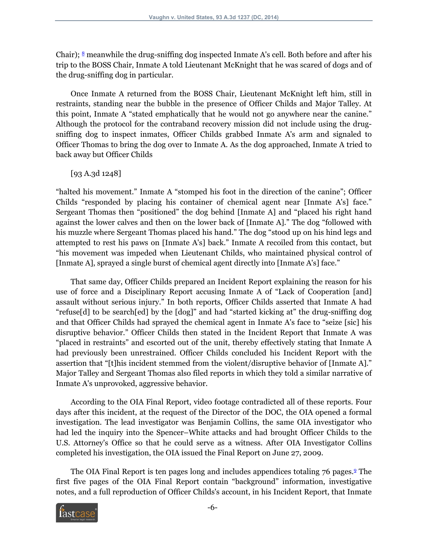<span id="page-5-0"></span>Chair);  $\frac{8}{3}$  $\frac{8}{3}$  $\frac{8}{3}$  meanwhile the drug-sniffing dog inspected Inmate A's cell. Both before and after his trip to the BOSS Chair, Inmate A told Lieutenant McKnight that he was scared of dogs and of the drug-sniffing dog in particular.

Once Inmate A returned from the BOSS Chair, Lieutenant McKnight left him, still in restraints, standing near the bubble in the presence of Officer Childs and Major Talley. At this point, Inmate A "stated emphatically that he would not go anywhere near the canine." Although the protocol for the contraband recovery mission did not include using the drugsniffing dog to inspect inmates, Officer Childs grabbed Inmate A's arm and signaled to Officer Thomas to bring the dog over to Inmate A. As the dog approached, Inmate A tried to back away but Officer Childs

[93 A.3d 1248]

"halted his movement." Inmate A "stomped his foot in the direction of the canine"; Officer Childs "responded by placing his container of chemical agent near [Inmate A's] face." Sergeant Thomas then "positioned" the dog behind [Inmate A] and "placed his right hand against the lower calves and then on the lower back of [Inmate A]." The dog "followed with his muzzle where Sergeant Thomas placed his hand." The dog "stood up on his hind legs and attempted to rest his paws on [Inmate A's] back." Inmate A recoiled from this contact, but "his movement was impeded when Lieutenant Childs, who maintained physical control of [Inmate A], sprayed a single burst of chemical agent directly into [Inmate A's] face."

That same day, Officer Childs prepared an Incident Report explaining the reason for his use of force and a Disciplinary Report accusing Inmate A of "Lack of Cooperation [and] assault without serious injury." In both reports, Officer Childs asserted that Inmate A had "refuse[d] to be search[ed] by the [dog]" and had "started kicking at" the drug-sniffing dog and that Officer Childs had sprayed the chemical agent in Inmate A's face to "seize [sic] his disruptive behavior." Officer Childs then stated in the Incident Report that Inmate A was "placed in restraints" and escorted out of the unit, thereby effectively stating that Inmate A had previously been unrestrained. Officer Childs concluded his Incident Report with the assertion that "[t]his incident stemmed from the violent/disruptive behavior of [Inmate A]." Major Talley and Sergeant Thomas also filed reports in which they told a similar narrative of Inmate A's unprovoked, aggressive behavior.

According to the OIA Final Report, video footage contradicted all of these reports. Four days after this incident, at the request of the Director of the DOC, the OIA opened a formal investigation. The lead investigator was Benjamin Collins, the same OIA investigator who had led the inquiry into the Spencer–White attacks and had brought Officer Childs to the U.S. Attorney's Office so that he could serve as a witness. After OIA Investigator Collins completed his investigation, the OIA issued the Final Report on June 27, 2009.

<span id="page-5-1"></span>The OIA Final Report is ten pages long and includes appendices totaling 76 pages.<sup>[9](#page-29-2)</sup> The first five pages of the OIA Final Report contain "background" information, investigative notes, and a full reproduction of Officer Childs's account, in his Incident Report, that Inmate

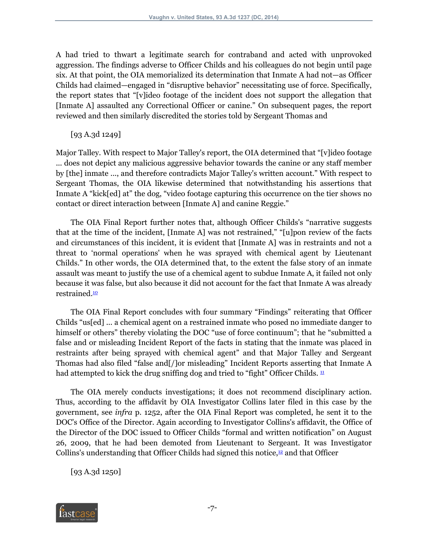A had tried to thwart a legitimate search for contraband and acted with unprovoked aggression. The findings adverse to Officer Childs and his colleagues do not begin until page six. At that point, the OIA memorialized its determination that Inmate A had not—as Officer Childs had claimed—engaged in "disruptive behavior" necessitating use of force. Specifically, the report states that "[v]ideo footage of the incident does not support the allegation that [Inmate A] assaulted any Correctional Officer or canine." On subsequent pages, the report reviewed and then similarly discredited the stories told by Sergeant Thomas and

[93 A.3d 1249]

Major Talley. With respect to Major Talley's report, the OIA determined that "[v]ideo footage ... does not depict any malicious aggressive behavior towards the canine or any staff member by [the] inmate ..., and therefore contradicts Major Talley's written account." With respect to Sergeant Thomas, the OIA likewise determined that notwithstanding his assertions that Inmate A "kick[ed] at" the dog, "video footage capturing this occurrence on the tier shows no contact or direct interaction between [Inmate A] and canine Reggie."

The OIA Final Report further notes that, although Officer Childs's "narrative suggests that at the time of the incident, [Inmate A] was not restrained," "[u]pon review of the facts and circumstances of this incident, it is evident that [Inmate A] was in restraints and not a threat to 'normal operations' when he was sprayed with chemical agent by Lieutenant Childs." In other words, the OIA determined that, to the extent the false story of an inmate assault was meant to justify the use of a chemical agent to subdue Inmate A, it failed not only because it was false, but also because it did not account for the fact that Inmate A was already restrained.<sup>[10](#page-29-3)</sup>

<span id="page-6-0"></span>The OIA Final Report concludes with four summary "Findings" reiterating that Officer Childs "us[ed] ... a chemical agent on a restrained inmate who posed no immediate danger to himself or others" thereby violating the DOC "use of force continuum"; that he "submitted a false and or misleading Incident Report of the facts in stating that the inmate was placed in restraints after being sprayed with chemical agent" and that Major Talley and Sergeant Thomas had also filed "false and[/]or misleading" Incident Reports asserting that Inmate A had attempted to kick the drug sniffing dog and tried to "fight" Officer Childs.  $\frac{11}{10}$  $\frac{11}{10}$  $\frac{11}{10}$ 

<span id="page-6-1"></span>The OIA merely conducts investigations; it does not recommend disciplinary action. Thus, according to the affidavit by OIA Investigator Collins later filed in this case by the government, see *infra* p. 1252, after the OIA Final Report was completed, he sent it to the DOC's Office of the Director. Again according to Investigator Collins's affidavit, the Office of the Director of the DOC issued to Officer Childs "formal and written notification" on August 26, 2009, that he had been demoted from Lieutenant to Sergeant. It was Investigator Collins's understanding that Officer Childs had signed this notice, $\frac{12}{2}$  $\frac{12}{2}$  $\frac{12}{2}$  and that Officer

<span id="page-6-2"></span>[93 A.3d 1250]

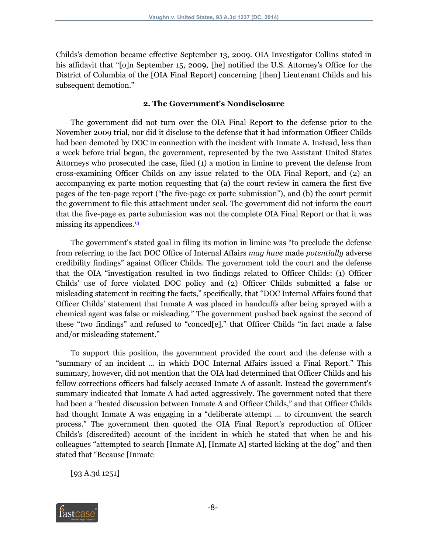Childs's demotion became effective September 13, 2009. OIA Investigator Collins stated in his affidavit that "[o]n September 15, 2009, [he] notified the U.S. Attorney's Office for the District of Columbia of the [OIA Final Report] concerning [then] Lieutenant Childs and his subsequent demotion."

#### **2. The Government's Nondisclosure**

The government did not turn over the OIA Final Report to the defense prior to the November 2009 trial, nor did it disclose to the defense that it had information Officer Childs had been demoted by DOC in connection with the incident with Inmate A. Instead, less than a week before trial began, the government, represented by the two Assistant United States Attorneys who prosecuted the case, filed (1) a motion in limine to prevent the defense from cross-examining Officer Childs on any issue related to the OIA Final Report, and (2) an accompanying ex parte motion requesting that (a) the court review in camera the first five pages of the ten-page report ("the five-page ex parte submission"), and (b) the court permit the government to file this attachment under seal. The government did not inform the court that the five-page ex parte submission was not the complete OIA Final Report or that it was missing its appendices.<sup>[13](#page-30-0)</sup>

<span id="page-7-0"></span>The government's stated goal in filing its motion in limine was "to preclude the defense from referring to the fact DOC Office of Internal Affairs *may have* made *potentially* adverse credibility findings" against Officer Childs. The government told the court and the defense that the OIA "investigation resulted in two findings related to Officer Childs: (1) Officer Childs' use of force violated DOC policy and (2) Officer Childs submitted a false or misleading statement in reciting the facts," specifically, that "DOC Internal Affairs found that Officer Childs' statement that Inmate A was placed in handcuffs after being sprayed with a chemical agent was false or misleading." The government pushed back against the second of these "two findings" and refused to "conced[e]," that Officer Childs "in fact made a false and/or misleading statement."

To support this position, the government provided the court and the defense with a "summary of an incident ... in which DOC Internal Affairs issued a Final Report." This summary, however, did not mention that the OIA had determined that Officer Childs and his fellow corrections officers had falsely accused Inmate A of assault. Instead the government's summary indicated that Inmate A had acted aggressively. The government noted that there had been a "heated discussion between Inmate A and Officer Childs," and that Officer Childs had thought Inmate A was engaging in a "deliberate attempt ... to circumvent the search process." The government then quoted the OIA Final Report's reproduction of Officer Childs's (discredited) account of the incident in which he stated that when he and his colleagues "attempted to search [Inmate A], [Inmate A] started kicking at the dog" and then stated that "Because [Inmate

[93 A.3d 1251]

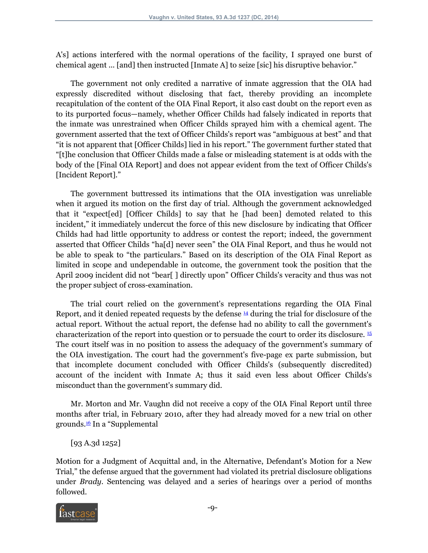A's] actions interfered with the normal operations of the facility, I sprayed one burst of chemical agent ... [and] then instructed [Inmate A] to seize [sic] his disruptive behavior."

The government not only credited a narrative of inmate aggression that the OIA had expressly discredited without disclosing that fact, thereby providing an incomplete recapitulation of the content of the OIA Final Report, it also cast doubt on the report even as to its purported focus—namely, whether Officer Childs had falsely indicated in reports that the inmate was unrestrained when Officer Childs sprayed him with a chemical agent. The government asserted that the text of Officer Childs's report was "ambiguous at best" and that "it is not apparent that [Officer Childs] lied in his report." The government further stated that "[t]he conclusion that Officer Childs made a false or misleading statement is at odds with the body of the [Final OIA Report] and does not appear evident from the text of Officer Childs's [Incident Report]."

The government buttressed its intimations that the OIA investigation was unreliable when it argued its motion on the first day of trial. Although the government acknowledged that it "expect[ed] [Officer Childs] to say that he [had been] demoted related to this incident," it immediately undercut the force of this new disclosure by indicating that Officer Childs had had little opportunity to address or contest the report; indeed, the government asserted that Officer Childs "ha[d] never seen" the OIA Final Report, and thus he would not be able to speak to "the particulars." Based on its description of the OIA Final Report as limited in scope and undependable in outcome, the government took the position that the April 2009 incident did not "bear[ ] directly upon" Officer Childs's veracity and thus was not the proper subject of cross-examination.

<span id="page-8-1"></span><span id="page-8-0"></span>The trial court relied on the government's representations regarding the OIA Final Report, and it denied repeated requests by the defense  $\frac{14}{3}$  $\frac{14}{3}$  $\frac{14}{3}$  during the trial for disclosure of the actual report. Without the actual report, the defense had no ability to call the government's characterization of the report into question or to persuade the court to order its disclosure. [15](#page-30-2) The court itself was in no position to assess the adequacy of the government's summary of the OIA investigation. The court had the government's five-page ex parte submission, but that incomplete document concluded with Officer Childs's (subsequently discredited) account of the incident with Inmate A; thus it said even less about Officer Childs's misconduct than the government's summary did.

Mr. Morton and Mr. Vaughn did not receive a copy of the OIA Final Report until three months after trial, in February 2010, after they had already moved for a new trial on other grounds.[16](#page-30-3) In a "Supplemental

## <span id="page-8-2"></span>[93 A.3d 1252]

Motion for a Judgment of Acquittal and, in the Alternative, Defendant's Motion for a New Trial," the defense argued that the government had violated its pretrial disclosure obligations under *Brady.* Sentencing was delayed and a series of hearings over a period of months followed.

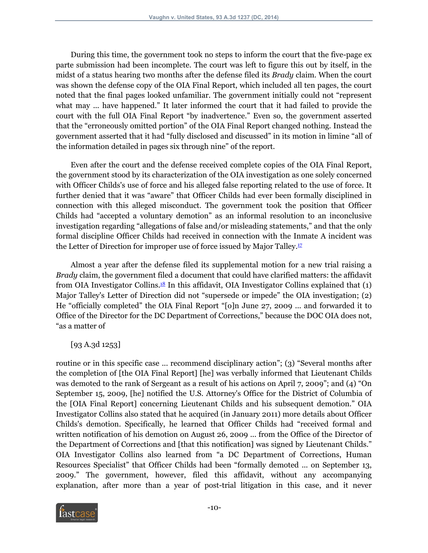During this time, the government took no steps to inform the court that the five-page ex parte submission had been incomplete. The court was left to figure this out by itself, in the midst of a status hearing two months after the defense filed its *Brady* claim. When the court was shown the defense copy of the OIA Final Report, which included all ten pages, the court noted that the final pages looked unfamiliar. The government initially could not "represent what may ... have happened." It later informed the court that it had failed to provide the court with the full OIA Final Report "by inadvertence." Even so, the government asserted that the "erroneously omitted portion" of the OIA Final Report changed nothing. Instead the government asserted that it had "fully disclosed and discussed" in its motion in limine "all of the information detailed in pages six through nine" of the report.

Even after the court and the defense received complete copies of the OIA Final Report, the government stood by its characterization of the OIA investigation as one solely concerned with Officer Childs's use of force and his alleged false reporting related to the use of force. It further denied that it was "aware" that Officer Childs had ever been formally disciplined in connection with this alleged misconduct. The government took the position that Officer Childs had "accepted a voluntary demotion" as an informal resolution to an inconclusive investigation regarding "allegations of false and/or misleading statements," and that the only formal discipline Officer Childs had received in connection with the Inmate A incident was the Letter of Direction for improper use of force issued by Major Talley. $\frac{17}{12}$  $\frac{17}{12}$  $\frac{17}{12}$ 

<span id="page-9-1"></span><span id="page-9-0"></span>Almost a year after the defense filed its supplemental motion for a new trial raising a *Brady* claim, the government filed a document that could have clarified matters: the affidavit from OIA Investigator Collins.<sup>[18](#page-30-5)</sup> In this affidavit, OIA Investigator Collins explained that  $(1)$ Major Talley's Letter of Direction did not "supersede or impede" the OIA investigation; (2) He "officially completed" the OIA Final Report "[o]n June 27, 2009 ... and forwarded it to Office of the Director for the DC Department of Corrections," because the DOC OIA does not, "as a matter of

[93 A.3d 1253]

routine or in this specific case ... recommend disciplinary action"; (3) "Several months after the completion of [the OIA Final Report] [he] was verbally informed that Lieutenant Childs was demoted to the rank of Sergeant as a result of his actions on April 7, 2009"; and (4) "On September 15, 2009, [he] notified the U.S. Attorney's Office for the District of Columbia of the [OIA Final Report] concerning Lieutenant Childs and his subsequent demotion." OIA Investigator Collins also stated that he acquired (in January 2011) more details about Officer Childs's demotion. Specifically, he learned that Officer Childs had "received formal and written notification of his demotion on August 26, 2009 ... from the Office of the Director of the Department of Corrections and [that this notification] was signed by Lieutenant Childs." OIA Investigator Collins also learned from "a DC Department of Corrections, Human Resources Specialist" that Officer Childs had been "formally demoted ... on September 13, 2009." The government, however, filed this affidavit, without any accompanying explanation, after more than a year of post-trial litigation in this case, and it never

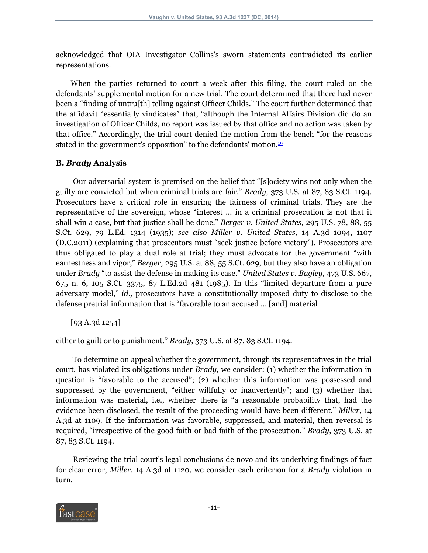acknowledged that OIA Investigator Collins's sworn statements contradicted its earlier representations.

When the parties returned to court a week after this filing, the court ruled on the defendants' supplemental motion for a new trial. The court determined that there had never been a "finding of untru[th] telling against Officer Childs." The court further determined that the affidavit "essentially vindicates" that, "although the Internal Affairs Division did do an investigation of Officer Childs, no report was issued by that office and no action was taken by that office." Accordingly, the trial court denied the motion from the bench "for the reasons stated in the government's opposition" to the defendants' motion. $19$ 

## <span id="page-10-0"></span>**B.** *Brady* **Analysis**

Our adversarial system is premised on the belief that "[s]ociety wins not only when the guilty are convicted but when criminal trials are fair." *Brady,* 373 U.S. at 87, 83 S.Ct. 1194. Prosecutors have a critical role in ensuring the fairness of criminal trials. They are the representative of the sovereign, whose "interest ... in a criminal prosecution is not that it shall win a case, but that justice shall be done." *Berger v. United States,* 295 U.S. 78, 88, 55 S.Ct. 629, 79 L.Ed. 1314 (1935); *see also Miller v. United States,* 14 A.3d 1094, 1107 (D.C.2011) (explaining that prosecutors must "seek justice before victory"). Prosecutors are thus obligated to play a dual role at trial; they must advocate for the government "with earnestness and vigor," *Berger,* 295 U.S. at 88, 55 S.Ct. 629, but they also have an obligation under *Brady* "to assist the defense in making its case." *United States v. Bagley,* 473 U.S. 667, 675 n. 6, 105 S.Ct. 3375, 87 L.Ed.2d 481 (1985). In this "limited departure from a pure adversary model," *id.,* prosecutors have a constitutionally imposed duty to disclose to the defense pretrial information that is "favorable to an accused ... [and] material

[93 A.3d 1254]

either to guilt or to punishment." *Brady,* 373 U.S. at 87, 83 S.Ct. 1194.

To determine on appeal whether the government, through its representatives in the trial court, has violated its obligations under *Brady,* we consider: (1) whether the information in question is "favorable to the accused"; (2) whether this information was possessed and suppressed by the government, "either willfully or inadvertently"; and (3) whether that information was material, i.e., whether there is "a reasonable probability that, had the evidence been disclosed, the result of the proceeding would have been different." *Miller,* 14 A.3d at 1109. If the information was favorable, suppressed, and material, then reversal is required, "irrespective of the good faith or bad faith of the prosecution." *Brady,* 373 U.S. at 87, 83 S.Ct. 1194.

Reviewing the trial court's legal conclusions de novo and its underlying findings of fact for clear error, *Miller,* 14 A.3d at 1120, we consider each criterion for a *Brady* violation in turn.

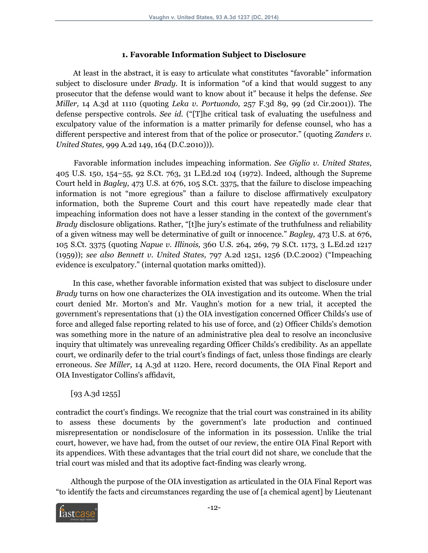#### **1. Favorable Information Subject to Disclosure**

At least in the abstract, it is easy to articulate what constitutes "favorable" information subject to disclosure under *Brady.* It is information "of a kind that would suggest to any prosecutor that the defense would want to know about it" because it helps the defense. *See Miller,* 14 A.3d at 1110 (quoting *Leka v. Portuondo,* 257 F.3d 89, 99 (2d Cir.2001)). The defense perspective controls. *See id.* ("[T]he critical task of evaluating the usefulness and exculpatory value of the information is a matter primarily for defense counsel, who has a different perspective and interest from that of the police or prosecutor." (quoting *Zanders v. United States,* 999 A.2d 149, 164 (D.C.2010))).

Favorable information includes impeaching information. *See Giglio v. United States,* 405 U.S. 150, 154–55, 92 S.Ct. 763, 31 L.Ed.2d 104 (1972). Indeed, although the Supreme Court held in *Bagley,* 473 U.S. at 676, 105 S.Ct. 3375, that the failure to disclose impeaching information is not "more egregious" than a failure to disclose affirmatively exculpatory information, both the Supreme Court and this court have repeatedly made clear that impeaching information does not have a lesser standing in the context of the government's *Brady* disclosure obligations. Rather, "[t]he jury's estimate of the truthfulness and reliability of a given witness may well be determinative of guilt or innocence." *Bagley,* 473 U.S. at 676, 105 S.Ct. 3375 (quoting *Napue v. Illinois,* 360 U.S. 264, 269, 79 S.Ct. 1173, 3 L.Ed.2d 1217 (1959)); *see also Bennett v. United States,* 797 A.2d 1251, 1256 (D.C.2002) ("Impeaching evidence is exculpatory." (internal quotation marks omitted)).

In this case, whether favorable information existed that was subject to disclosure under *Brady* turns on how one characterizes the OIA investigation and its outcome. When the trial court denied Mr. Morton's and Mr. Vaughn's motion for a new trial, it accepted the government's representations that (1) the OIA investigation concerned Officer Childs's use of force and alleged false reporting related to his use of force, and (2) Officer Childs's demotion was something more in the nature of an administrative plea deal to resolve an inconclusive inquiry that ultimately was unrevealing regarding Officer Childs's credibility. As an appellate court, we ordinarily defer to the trial court's findings of fact, unless those findings are clearly erroneous. *See Miller,* 14 A.3d at 1120. Here, record documents, the OIA Final Report and OIA Investigator Collins's affidavit,

[93 A.3d 1255]

contradict the court's findings. We recognize that the trial court was constrained in its ability to assess these documents by the government's late production and continued misrepresentation or nondisclosure of the information in its possession. Unlike the trial court, however, we have had, from the outset of our review, the entire OIA Final Report with its appendices. With these advantages that the trial court did not share, we conclude that the trial court was misled and that its adoptive fact-finding was clearly wrong.

Although the purpose of the OIA investigation as articulated in the OIA Final Report was "to identify the facts and circumstances regarding the use of [a chemical agent] by Lieutenant

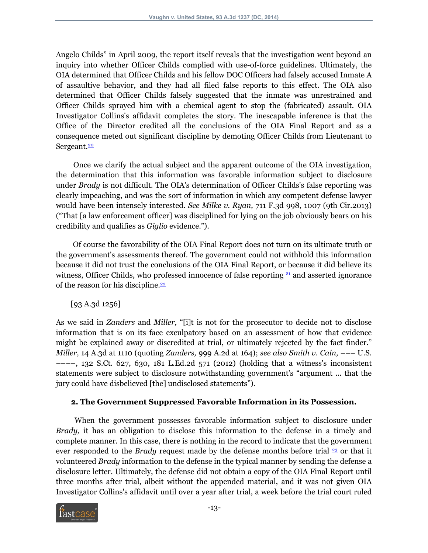Angelo Childs" in April 2009, the report itself reveals that the investigation went beyond an inquiry into whether Officer Childs complied with use-of-force guidelines. Ultimately, the OIA determined that Officer Childs and his fellow DOC Officers had falsely accused Inmate A of assaultive behavior, and they had all filed false reports to this effect. The OIA also determined that Officer Childs falsely suggested that the inmate was unrestrained and Officer Childs sprayed him with a chemical agent to stop the (fabricated) assault. OIA Investigator Collins's affidavit completes the story. The inescapable inference is that the Office of the Director credited all the conclusions of the OIA Final Report and as a consequence meted out significant discipline by demoting Officer Childs from Lieutenant to Sergeant.<sup>[20](#page-31-1)</sup>

<span id="page-12-0"></span>Once we clarify the actual subject and the apparent outcome of the OIA investigation, the determination that this information was favorable information subject to disclosure under *Brady* is not difficult. The OIA's determination of Officer Childs's false reporting was clearly impeaching, and was the sort of information in which any competent defense lawyer would have been intensely interested. *See Milke v. Ryan,* 711 F.3d 998, 1007 (9th Cir.2013) ("That [a law enforcement officer] was disciplined for lying on the job obviously bears on his credibility and qualifies as *Giglio* evidence.").

Of course the favorability of the OIA Final Report does not turn on its ultimate truth or the government's assessments thereof. The government could not withhold this information because it did not trust the conclusions of the OIA Final Report, or because it did believe its witness, Officer Childs, who professed innocence of false reporting  $21$  and asserted ignorance of the reason for his discipline. $\frac{22}{3}$  $\frac{22}{3}$  $\frac{22}{3}$ 

<span id="page-12-2"></span><span id="page-12-1"></span>[93 A.3d 1256]

As we said in *Zanders* and *Miller,* "[i]t is not for the prosecutor to decide not to disclose information that is on its face exculpatory based on an assessment of how that evidence might be explained away or discredited at trial, or ultimately rejected by the fact finder." *Miller,* 14 A.3d at 1110 (quoting *Zanders,* 999 A.2d at 164); *see also Smith v. Cain,* ––– U.S. ––––, 132 S.Ct. 627, 630, 181 L.Ed.2d 571 (2012) (holding that a witness's inconsistent statements were subject to disclosure notwithstanding government's "argument ... that the jury could have disbelieved [the] undisclosed statements").

## <span id="page-12-3"></span>**2. The Government Suppressed Favorable Information in its Possession.**

When the government possesses favorable information subject to disclosure under *Brady,* it has an obligation to disclose this information to the defense in a timely and complete manner. In this case, there is nothing in the record to indicate that the government ever responded to the *Brady* request made by the defense months before trial <sup>[23](#page-31-4)</sup> or that it volunteered *Brady* information to the defense in the typical manner by sending the defense a disclosure letter. Ultimately, the defense did not obtain a copy of the OIA Final Report until three months after trial, albeit without the appended material, and it was not given OIA Investigator Collins's affidavit until over a year after trial, a week before the trial court ruled

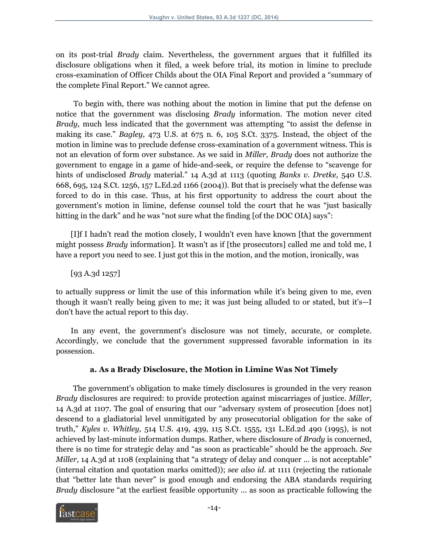on its post-trial *Brady* claim. Nevertheless, the government argues that it fulfilled its disclosure obligations when it filed, a week before trial, its motion in limine to preclude cross-examination of Officer Childs about the OIA Final Report and provided a "summary of the complete Final Report." We cannot agree.

To begin with, there was nothing about the motion in limine that put the defense on notice that the government was disclosing *Brady* information. The motion never cited *Brady,* much less indicated that the government was attempting "to assist the defense in making its case." *Bagley,* 473 U.S. at 675 n. 6, 105 S.Ct. 3375. Instead, the object of the motion in limine was to preclude defense cross-examination of a government witness. This is not an elevation of form over substance. As we said in *Miller, Brady* does not authorize the government to engage in a game of hide-and-seek, or require the defense to "scavenge for hints of undisclosed *Brady* material." 14 A.3d at 1113 (quoting *Banks v. Dretke,* 540 U.S. 668, 695, 124 S.Ct. 1256, 157 L.Ed.2d 1166 (2004)). But that is precisely what the defense was forced to do in this case. Thus, at his first opportunity to address the court about the government's motion in limine, defense counsel told the court that he was "just basically hitting in the dark" and he was "not sure what the finding [of the DOC OIA] says":

[I]f I hadn't read the motion closely, I wouldn't even have known [that the government might possess *Brady* information]. It wasn't as if [the prosecutors] called me and told me, I have a report you need to see. I just got this in the motion, and the motion, ironically, was

[93 A.3d 1257]

to actually suppress or limit the use of this information while it's being given to me, even though it wasn't really being given to me; it was just being alluded to or stated, but it's—I don't have the actual report to this day.

In any event, the government's disclosure was not timely, accurate, or complete. Accordingly, we conclude that the government suppressed favorable information in its possession.

## **a. As a Brady Disclosure, the Motion in Limine Was Not Timely**

The government's obligation to make timely disclosures is grounded in the very reason *Brady* disclosures are required: to provide protection against miscarriages of justice. *Miller,* 14 A.3d at 1107. The goal of ensuring that our "adversary system of prosecution [does not] descend to a gladiatorial level unmitigated by any prosecutorial obligation for the sake of truth," *Kyles v. Whitley,* 514 U.S. 419, 439, 115 S.Ct. 1555, 131 L.Ed.2d 490 (1995), is not achieved by last-minute information dumps. Rather, where disclosure of *Brady* is concerned, there is no time for strategic delay and "as soon as practicable" should be the approach. *See Miller,* 14 A.3d at 1108 (explaining that "a strategy of delay and conquer ... is not acceptable" (internal citation and quotation marks omitted)); *see also id.* at 1111 (rejecting the rationale that "better late than never" is good enough and endorsing the ABA standards requiring *Brady* disclosure "at the earliest feasible opportunity ... as soon as practicable following the

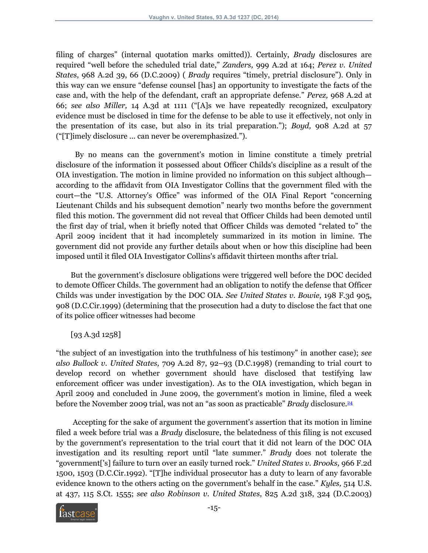filing of charges" (internal quotation marks omitted)). Certainly, *Brady* disclosures are required "well before the scheduled trial date," *Zanders,* 999 A.2d at 164; *Perez v. United States,* 968 A.2d 39, 66 (D.C.2009) ( *Brady* requires "timely, pretrial disclosure"). Only in this way can we ensure "defense counsel [has] an opportunity to investigate the facts of the case and, with the help of the defendant, craft an appropriate defense." *Perez,* 968 A.2d at 66; *see also Miller,* 14 A.3d at 1111 ("[A]s we have repeatedly recognized, exculpatory evidence must be disclosed in time for the defense to be able to use it effectively, not only in the presentation of its case, but also in its trial preparation."); *Boyd,* 908 A.2d at 57 ("[T]imely disclosure ... can never be overemphasized.").

By no means can the government's motion in limine constitute a timely pretrial disclosure of the information it possessed about Officer Childs's discipline as a result of the OIA investigation. The motion in limine provided no information on this subject although according to the affidavit from OIA Investigator Collins that the government filed with the court—the "U.S. Attorney's Office" was informed of the OIA Final Report "concerning Lieutenant Childs and his subsequent demotion" nearly two months before the government filed this motion. The government did not reveal that Officer Childs had been demoted until the first day of trial, when it briefly noted that Officer Childs was demoted "related to" the April 2009 incident that it had incompletely summarized in its motion in limine. The government did not provide any further details about when or how this discipline had been imposed until it filed OIA Investigator Collins's affidavit thirteen months after trial.

But the government's disclosure obligations were triggered well before the DOC decided to demote Officer Childs. The government had an obligation to notify the defense that Officer Childs was under investigation by the DOC OIA. *See United States v. Bowie,* 198 F.3d 905, 908 (D.C.Cir.1999) (determining that the prosecution had a duty to disclose the fact that one of its police officer witnesses had become

<span id="page-14-0"></span>[93 A.3d 1258]

"the subject of an investigation into the truthfulness of his testimony" in another case); *see also Bullock v. United States,* 709 A.2d 87, 92–93 (D.C.1998) (remanding to trial court to develop record on whether government should have disclosed that testifying law enforcement officer was under investigation). As to the OIA investigation, which began in April 2009 and concluded in June 2009, the government's motion in limine, filed a week before the November 2009 trial, was not an "as soon as practicable" *Brady* disclosure.[24](#page-32-0)

Accepting for the sake of argument the government's assertion that its motion in limine filed a week before trial was a *Brady* disclosure, the belatedness of this filing is not excused by the government's representation to the trial court that it did not learn of the DOC OIA investigation and its resulting report until "late summer." *Brady* does not tolerate the "government['s] failure to turn over an easily turned rock." *United States v. Brooks,* 966 F.2d 1500, 1503 (D.C.Cir.1992). "[T]he individual prosecutor has a duty to learn of any favorable evidence known to the others acting on the government's behalf in the case." *Kyles,* 514 U.S. at 437, 115 S.Ct. 1555; *see also Robinson v. United States,* 825 A.2d 318, 324 (D.C.2003)

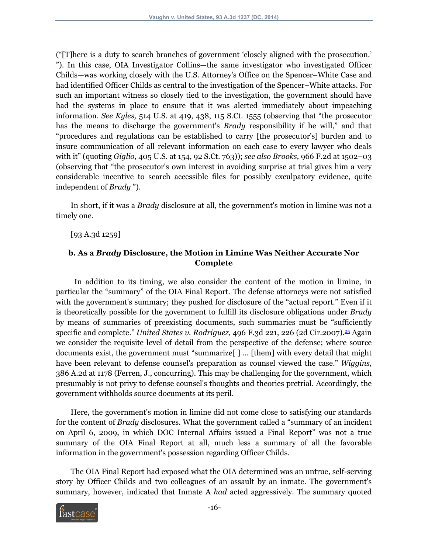("[T]here is a duty to search branches of government 'closely aligned with the prosecution.' "). In this case, OIA Investigator Collins—the same investigator who investigated Officer Childs—was working closely with the U.S. Attorney's Office on the Spencer–White Case and had identified Officer Childs as central to the investigation of the Spencer–White attacks. For such an important witness so closely tied to the investigation, the government should have had the systems in place to ensure that it was alerted immediately about impeaching information. *See Kyles,* 514 U.S. at 419, 438, 115 S.Ct. 1555 (observing that "the prosecutor has the means to discharge the government's *Brady* responsibility if he will," and that "procedures and regulations can be established to carry [the prosecutor's] burden and to insure communication of all relevant information on each case to every lawyer who deals with it" (quoting *Giglio,* 405 U.S. at 154, 92 S.Ct. 763)); *see also Brooks,* 966 F.2d at 1502–03 (observing that "the prosecutor's own interest in avoiding surprise at trial gives him a very considerable incentive to search accessible files for possibly exculpatory evidence, quite independent of *Brady* ").

In short, if it was a *Brady* disclosure at all, the government's motion in limine was not a timely one.

[93 A.3d 1259]

## <span id="page-15-0"></span>**b. As a** *Brady* **Disclosure, the Motion in Limine Was Neither Accurate Nor Complete**

In addition to its timing, we also consider the content of the motion in limine, in particular the "summary" of the OIA Final Report. The defense attorneys were not satisfied with the government's summary; they pushed for disclosure of the "actual report." Even if it is theoretically possible for the government to fulfill its disclosure obligations under *Brady* by means of summaries of preexisting documents, such summaries must be "sufficiently specific and complete." *United States v. Rodriguez,* 496 F.3d 221, 226 (2d Cir.2007).[25](#page-32-1) Again we consider the requisite level of detail from the perspective of the defense; where source documents exist, the government must "summarize[ ] ... [them] with every detail that might have been relevant to defense counsel's preparation as counsel viewed the case." *Wiggins,* 386 A.2d at 1178 (Ferren, J., concurring). This may be challenging for the government, which presumably is not privy to defense counsel's thoughts and theories pretrial. Accordingly, the government withholds source documents at its peril.

Here, the government's motion in limine did not come close to satisfying our standards for the content of *Brady* disclosures. What the government called a "summary of an incident on April 6, 2009, in which DOC Internal Affairs issued a Final Report" was not a true summary of the OIA Final Report at all, much less a summary of all the favorable information in the government's possession regarding Officer Childs.

The OIA Final Report had exposed what the OIA determined was an untrue, self-serving story by Officer Childs and two colleagues of an assault by an inmate. The government's summary, however, indicated that Inmate A *had* acted aggressively. The summary quoted

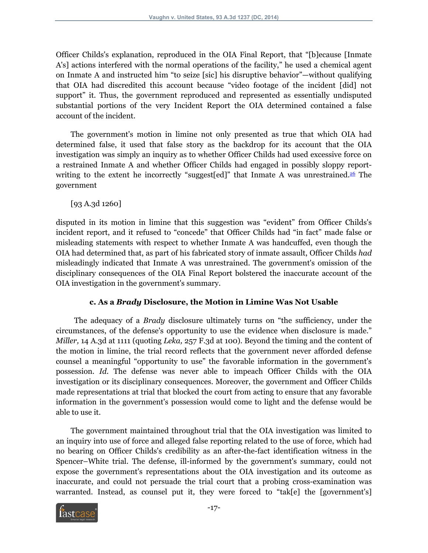Officer Childs's explanation, reproduced in the OIA Final Report, that "[b]ecause [Inmate A's] actions interfered with the normal operations of the facility," he used a chemical agent on Inmate A and instructed him "to seize [sic] his disruptive behavior"—without qualifying that OIA had discredited this account because "video footage of the incident [did] not support" it. Thus, the government reproduced and represented as essentially undisputed substantial portions of the very Incident Report the OIA determined contained a false account of the incident.

The government's motion in limine not only presented as true that which OIA had determined false, it used that false story as the backdrop for its account that the OIA investigation was simply an inquiry as to whether Officer Childs had used excessive force on a restrained Inmate A and whether Officer Childs had engaged in possibly sloppy report-writing to the extent he incorrectly "suggest [ed]" that Inmate A was unrestrained.<sup>[26](#page-32-2)</sup> The government

<span id="page-16-0"></span>[93 A.3d 1260]

disputed in its motion in limine that this suggestion was "evident" from Officer Childs's incident report, and it refused to "concede" that Officer Childs had "in fact" made false or misleading statements with respect to whether Inmate A was handcuffed, even though the OIA had determined that, as part of his fabricated story of inmate assault, Officer Childs *had* misleadingly indicated that Inmate A was unrestrained. The government's omission of the disciplinary consequences of the OIA Final Report bolstered the inaccurate account of the OIA investigation in the government's summary.

## **c. As a** *Brady* **Disclosure, the Motion in Limine Was Not Usable**

The adequacy of a *Brady* disclosure ultimately turns on "the sufficiency, under the circumstances, of the defense's opportunity to use the evidence when disclosure is made." *Miller,* 14 A.3d at 1111 (quoting *Leka,* 257 F.3d at 100). Beyond the timing and the content of the motion in limine, the trial record reflects that the government never afforded defense counsel a meaningful "opportunity to use" the favorable information in the government's possession. *Id.* The defense was never able to impeach Officer Childs with the OIA investigation or its disciplinary consequences. Moreover, the government and Officer Childs made representations at trial that blocked the court from acting to ensure that any favorable information in the government's possession would come to light and the defense would be able to use it.

The government maintained throughout trial that the OIA investigation was limited to an inquiry into use of force and alleged false reporting related to the use of force, which had no bearing on Officer Childs's credibility as an after-the-fact identification witness in the Spencer–White trial. The defense, ill-informed by the government's summary, could not expose the government's representations about the OIA investigation and its outcome as inaccurate, and could not persuade the trial court that a probing cross-examination was warranted. Instead, as counsel put it, they were forced to "tak[e] the [government's]

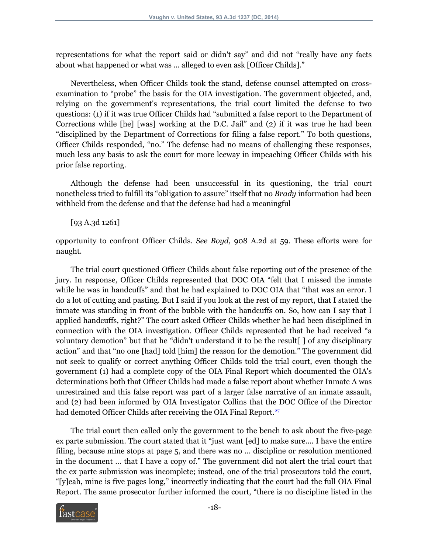representations for what the report said or didn't say" and did not "really have any facts about what happened or what was ... alleged to even ask [Officer Childs]."

Nevertheless, when Officer Childs took the stand, defense counsel attempted on crossexamination to "probe" the basis for the OIA investigation. The government objected, and, relying on the government's representations, the trial court limited the defense to two questions: (1) if it was true Officer Childs had "submitted a false report to the Department of Corrections while [he] [was] working at the D.C. Jail" and (2) if it was true he had been "disciplined by the Department of Corrections for filing a false report." To both questions, Officer Childs responded, "no." The defense had no means of challenging these responses, much less any basis to ask the court for more leeway in impeaching Officer Childs with his prior false reporting.

Although the defense had been unsuccessful in its questioning, the trial court nonetheless tried to fulfill its "obligation to assure" itself that no *Brady* information had been withheld from the defense and that the defense had had a meaningful

[93 A.3d 1261]

opportunity to confront Officer Childs. *See Boyd,* 908 A.2d at 59. These efforts were for naught.

The trial court questioned Officer Childs about false reporting out of the presence of the jury. In response, Officer Childs represented that DOC OIA "felt that I missed the inmate while he was in handcuffs" and that he had explained to DOC OIA that "that was an error. I do a lot of cutting and pasting. But I said if you look at the rest of my report, that I stated the inmate was standing in front of the bubble with the handcuffs on. So, how can I say that I applied handcuffs, right?" The court asked Officer Childs whether he had been disciplined in connection with the OIA investigation. Officer Childs represented that he had received "a voluntary demotion" but that he "didn't understand it to be the result[ ] of any disciplinary action" and that "no one [had] told [him] the reason for the demotion." The government did not seek to qualify or correct anything Officer Childs told the trial court, even though the government (1) had a complete copy of the OIA Final Report which documented the OIA's determinations both that Officer Childs had made a false report about whether Inmate A was unrestrained and this false report was part of a larger false narrative of an inmate assault, and (2) had been informed by OIA Investigator Collins that the DOC Office of the Director had demoted Officer Childs after receiving the OIA Final Report. $27$ 

<span id="page-17-0"></span>The trial court then called only the government to the bench to ask about the five-page ex parte submission. The court stated that it "just want [ed] to make sure.... I have the entire filing, because mine stops at page 5, and there was no ... discipline or resolution mentioned in the document ... that I have a copy of." The government did not alert the trial court that the ex parte submission was incomplete; instead, one of the trial prosecutors told the court, "[y]eah, mine is five pages long," incorrectly indicating that the court had the full OIA Final Report. The same prosecutor further informed the court, "there is no discipline listed in the

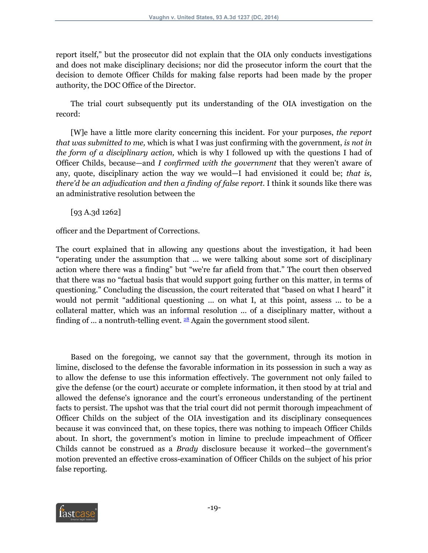report itself," but the prosecutor did not explain that the OIA only conducts investigations and does not make disciplinary decisions; nor did the prosecutor inform the court that the decision to demote Officer Childs for making false reports had been made by the proper authority, the DOC Office of the Director.

The trial court subsequently put its understanding of the OIA investigation on the record:

[W]e have a little more clarity concerning this incident. For your purposes, *the report that was submitted to me,* which is what I was just confirming with the government, *is not in the form of a disciplinary action,* which is why I followed up with the questions I had of Officer Childs, because—and *I confirmed with the government* that they weren't aware of any, quote, disciplinary action the way we would—I had envisioned it could be; *that is, there'd be an adjudication and then a finding of false report.* I think it sounds like there was an administrative resolution between the

[93 A.3d 1262]

officer and the Department of Corrections.

The court explained that in allowing any questions about the investigation, it had been "operating under the assumption that ... we were talking about some sort of disciplinary action where there was a finding" but "we're far afield from that." The court then observed that there was no "factual basis that would support going further on this matter, in terms of questioning." Concluding the discussion, the court reiterated that "based on what I heard" it would not permit "additional questioning ... on what I, at this point, assess ... to be a collateral matter, which was an informal resolution ... of a disciplinary matter, without a finding of ... a nontruth-telling event.  $^{28}$  $^{28}$  $^{28}$  Again the government stood silent.

<span id="page-18-0"></span>Based on the foregoing, we cannot say that the government, through its motion in limine, disclosed to the defense the favorable information in its possession in such a way as to allow the defense to use this information effectively. The government not only failed to give the defense (or the court) accurate or complete information, it then stood by at trial and allowed the defense's ignorance and the court's erroneous understanding of the pertinent facts to persist. The upshot was that the trial court did not permit thorough impeachment of Officer Childs on the subject of the OIA investigation and its disciplinary consequences because it was convinced that, on these topics, there was nothing to impeach Officer Childs about. In short, the government's motion in limine to preclude impeachment of Officer Childs cannot be construed as a *Brady* disclosure because it worked—the government's motion prevented an effective cross-examination of Officer Childs on the subject of his prior false reporting.

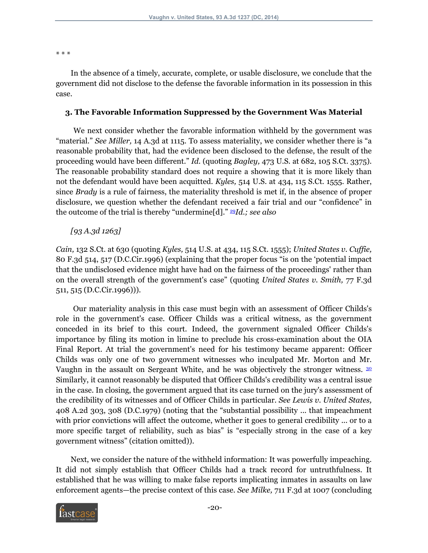\* \* \*

In the absence of a timely, accurate, complete, or usable disclosure, we conclude that the government did not disclose to the defense the favorable information in its possession in this case.

#### **3. The Favorable Information Suppressed by the Government Was Material**

We next consider whether the favorable information withheld by the government was "material." *See Miller,* 14 A.3d at 1115. To assess materiality, we consider whether there is "a reasonable probability that, had the evidence been disclosed to the defense, the result of the proceeding would have been different." *Id.* (quoting *Bagley,* 473 U.S. at 682, 105 S.Ct. 3375). The reasonable probability standard does not require a showing that it is more likely than not the defendant would have been acquitted. *Kyles,* 514 U.S. at 434, 115 S.Ct. 1555. Rather, since *Brady* is a rule of fairness, the materiality threshold is met if, in the absence of proper disclosure, we question whether the defendant received a fair trial and our "confidence" in the outcome of the trial is thereby "undermine[d]." [29](#page-33-1)*Id.; see also*

## <span id="page-19-0"></span>*[93 A.3d 1263]*

*Cain,* 132 S.Ct. at 630 (quoting *Kyles,* 514 U.S. at 434, 115 S.Ct. 1555); *United States v. Cuffie,* 80 F.3d 514, 517 (D.C.Cir.1996) (explaining that the proper focus "is on the 'potential impact that the undisclosed evidence might have had on the fairness of the proceedings' rather than on the overall strength of the government's case" (quoting *United States v. Smith,* 77 F.3d 511, 515 (D.C.Cir.1996))).

<span id="page-19-1"></span>Our materiality analysis in this case must begin with an assessment of Officer Childs's role in the government's case. Officer Childs was a critical witness, as the government conceded in its brief to this court. Indeed, the government signaled Officer Childs's importance by filing its motion in limine to preclude his cross-examination about the OIA Final Report. At trial the government's need for his testimony became apparent: Officer Childs was only one of two government witnesses who inculpated Mr. Morton and Mr. Vaughn in the assault on Sergeant White, and he was objectively the stronger witness.  $30$ Similarly, it cannot reasonably be disputed that Officer Childs's credibility was a central issue in the case. In closing, the government argued that its case turned on the jury's assessment of the credibility of its witnesses and of Officer Childs in particular. *See Lewis v. United States,* 408 A.2d 303, 308 (D.C.1979) (noting that the "substantial possibility ... that impeachment with prior convictions will affect the outcome, whether it goes to general credibility ... or to a more specific target of reliability, such as bias" is "especially strong in the case of a key government witness" (citation omitted)).

Next, we consider the nature of the withheld information: It was powerfully impeaching. It did not simply establish that Officer Childs had a track record for untruthfulness. It established that he was willing to make false reports implicating inmates in assaults on law enforcement agents—the precise context of this case. *See Milke,* 711 F.3d at 1007 (concluding

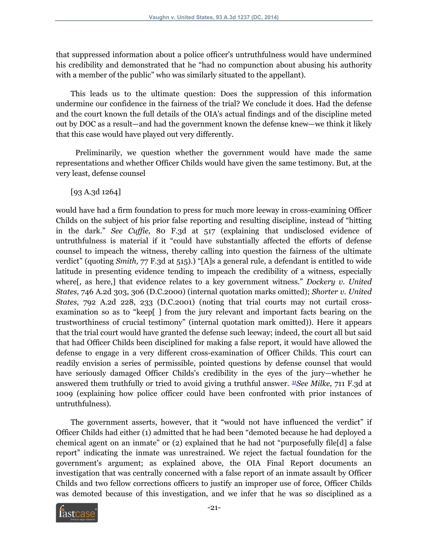that suppressed information about a police officer's untruthfulness would have undermined his credibility and demonstrated that he "had no compunction about abusing his authority with a member of the public" who was similarly situated to the appellant).

This leads us to the ultimate question: Does the suppression of this information undermine our confidence in the fairness of the trial? We conclude it does. Had the defense and the court known the full details of the OIA's actual findings and of the discipline meted out by DOC as a result—and had the government known the defense knew—we think it likely that this case would have played out very differently.

Preliminarily, we question whether the government would have made the same representations and whether Officer Childs would have given the same testimony. But, at the very least, defense counsel

[93 A.3d 1264]

would have had a firm foundation to press for much more leeway in cross-examining Officer Childs on the subject of his prior false reporting and resulting discipline, instead of "hitting in the dark." *See Cuffie,* 80 F.3d at 517 (explaining that undisclosed evidence of untruthfulness is material if it "could have substantially affected the efforts of defense counsel to impeach the witness, thereby calling into question the fairness of the ultimate verdict" (quoting *Smith,* 77 F.3d at 515).) "[A]s a general rule, a defendant is entitled to wide latitude in presenting evidence tending to impeach the credibility of a witness, especially where[, as here,] that evidence relates to a key government witness." *Dockery v. United States,* 746 A.2d 303, 306 (D.C.2000) (internal quotation marks omitted); *Shorter v. United States,* 792 A.2d 228, 233 (D.C.2001) (noting that trial courts may not curtail crossexamination so as to "keep[ ] from the jury relevant and important facts bearing on the trustworthiness of crucial testimony" (internal quotation mark omitted)). Here it appears that the trial court would have granted the defense such leeway; indeed, the court all but said that had Officer Childs been disciplined for making a false report, it would have allowed the defense to engage in a very different cross-examination of Officer Childs. This court can readily envision a series of permissible, pointed questions by defense counsel that would have seriously damaged Officer Childs's credibility in the eyes of the jury—whether he answered them truthfully or tried to avoid giving a truthful answer. [31](#page-33-3)*See Milke,* 711 F.3d at 1009 (explaining how police officer could have been confronted with prior instances of untruthfulness).

<span id="page-20-0"></span>The government asserts, however, that it "would not have influenced the verdict" if Officer Childs had either (1) admitted that he had been "demoted because he had deployed a chemical agent on an inmate" or (2) explained that he had not "purposefully file[d] a false report" indicating the inmate was unrestrained. We reject the factual foundation for the government's argument; as explained above, the OIA Final Report documents an investigation that was centrally concerned with a false report of an inmate assault by Officer Childs and two fellow corrections officers to justify an improper use of force, Officer Childs was demoted because of this investigation, and we infer that he was so disciplined as a

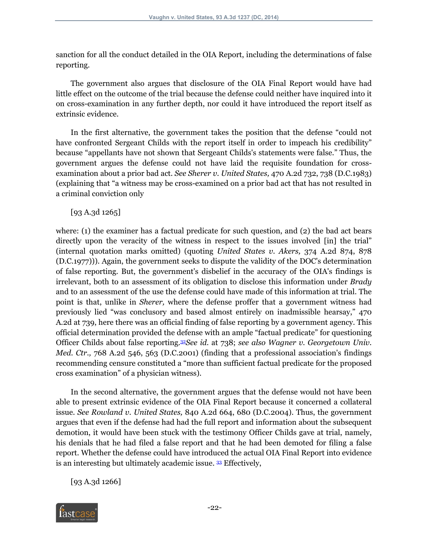sanction for all the conduct detailed in the OIA Report, including the determinations of false reporting.

The government also argues that disclosure of the OIA Final Report would have had little effect on the outcome of the trial because the defense could neither have inquired into it on cross-examination in any further depth, nor could it have introduced the report itself as extrinsic evidence.

In the first alternative, the government takes the position that the defense "could not have confronted Sergeant Childs with the report itself in order to impeach his credibility" because "appellants have not shown that Sergeant Childs's statements were false." Thus, the government argues the defense could not have laid the requisite foundation for crossexamination about a prior bad act. *See Sherer v. United States,* 470 A.2d 732, 738 (D.C.1983) (explaining that "a witness may be cross-examined on a prior bad act that has not resulted in a criminal conviction only

[93 A.3d 1265]

where: (1) the examiner has a factual predicate for such question, and (2) the bad act bears directly upon the veracity of the witness in respect to the issues involved [in] the trial" (internal quotation marks omitted) (quoting *United States v. Akers,* 374 A.2d 874, 878 (D.C.1977))). Again, the government seeks to dispute the validity of the DOC's determination of false reporting. But, the government's disbelief in the accuracy of the OIA's findings is irrelevant, both to an assessment of its obligation to disclose this information under *Brady* and to an assessment of the use the defense could have made of this information at trial. The point is that, unlike in *Sherer,* where the defense proffer that a government witness had previously lied "was conclusory and based almost entirely on inadmissible hearsay," 470 A.2d at 739, here there was an official finding of false reporting by a government agency. This official determination provided the defense with an ample "factual predicate" for questioning Officer Childs about false reporting.[32](#page-33-4)*See id.* at 738; *see also Wagner v. Georgetown Univ. Med. Ctr.,* 768 A.2d 546, 563 (D.C.2001) (finding that a professional association's findings recommending censure constituted a "more than sufficient factual predicate for the proposed cross examination" of a physician witness).

<span id="page-21-0"></span>In the second alternative, the government argues that the defense would not have been able to present extrinsic evidence of the OIA Final Report because it concerned a collateral issue. *See Rowland v. United States,* 840 A.2d 664, 680 (D.C.2004). Thus, the government argues that even if the defense had had the full report and information about the subsequent demotion, it would have been stuck with the testimony Officer Childs gave at trial, namely, his denials that he had filed a false report and that he had been demoted for filing a false report. Whether the defense could have introduced the actual OIA Final Report into evidence is an interesting but ultimately academic issue. [33](#page-34-0) Effectively,

<span id="page-21-1"></span>[93 A.3d 1266]

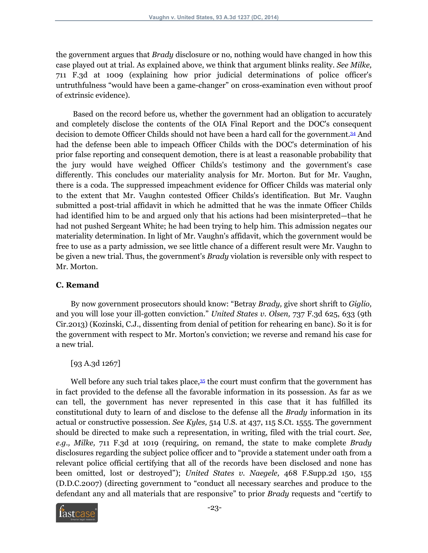the government argues that *Brady* disclosure or no, nothing would have changed in how this case played out at trial. As explained above, we think that argument blinks reality. *See Milke,* 711 F.3d at 1009 (explaining how prior judicial determinations of police officer's untruthfulness "would have been a game-changer" on cross-examination even without proof of extrinsic evidence).

<span id="page-22-0"></span>Based on the record before us, whether the government had an obligation to accurately and completely disclose the contents of the OIA Final Report and the DOC's consequent decision to demote Officer Childs should not have been a hard call for the government.[34](#page-34-1) And had the defense been able to impeach Officer Childs with the DOC's determination of his prior false reporting and consequent demotion, there is at least a reasonable probability that the jury would have weighed Officer Childs's testimony and the government's case differently. This concludes our materiality analysis for Mr. Morton. But for Mr. Vaughn, there is a coda. The suppressed impeachment evidence for Officer Childs was material only to the extent that Mr. Vaughn contested Officer Childs's identification. But Mr. Vaughn submitted a post-trial affidavit in which he admitted that he was the inmate Officer Childs had identified him to be and argued only that his actions had been misinterpreted—that he had not pushed Sergeant White; he had been trying to help him. This admission negates our materiality determination. In light of Mr. Vaughn's affidavit, which the government would be free to use as a party admission, we see little chance of a different result were Mr. Vaughn to be given a new trial. Thus, the government's *Brady* violation is reversible only with respect to Mr. Morton.

#### **C. Remand**

By now government prosecutors should know: "Betray *Brady,* give short shrift to *Giglio,* and you will lose your ill-gotten conviction." *United States v. Olsen,* 737 F.3d 625, 633 (9th Cir.2013) (Kozinski, C.J., dissenting from denial of petition for rehearing en banc). So it is for the government with respect to Mr. Morton's conviction; we reverse and remand his case for a new trial.

## <span id="page-22-1"></span>[93 A.3d 1267]

Well before any such trial takes place,<sup>[35](#page-35-0)</sup> the court must confirm that the government has in fact provided to the defense all the favorable information in its possession. As far as we can tell, the government has never represented in this case that it has fulfilled its constitutional duty to learn of and disclose to the defense all the *Brady* information in its actual or constructive possession. *See Kyles,* 514 U.S. at 437, 115 S.Ct. 1555. The government should be directed to make such a representation, in writing, filed with the trial court. *See, e.g., Milke,* 711 F.3d at 1019 (requiring, on remand, the state to make complete *Brady* disclosures regarding the subject police officer and to "provide a statement under oath from a relevant police official certifying that all of the records have been disclosed and none has been omitted, lost or destroyed"); *United States v. Naegele,* 468 F.Supp.2d 150, 155 (D.D.C.2007) (directing government to "conduct all necessary searches and produce to the defendant any and all materials that are responsive" to prior *Brady* requests and "certify to

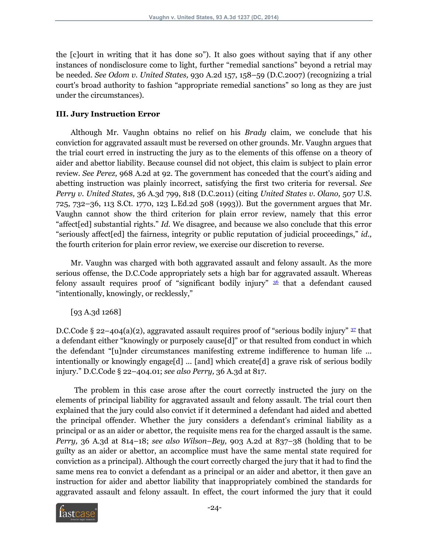the [c]ourt in writing that it has done so"). It also goes without saying that if any other instances of nondisclosure come to light, further "remedial sanctions" beyond a retrial may be needed. *See Odom v. United States,* 930 A.2d 157, 158–59 (D.C.2007) (recognizing a trial court's broad authority to fashion "appropriate remedial sanctions" so long as they are just under the circumstances).

#### **III. Jury Instruction Error**

Although Mr. Vaughn obtains no relief on his *Brady* claim, we conclude that his conviction for aggravated assault must be reversed on other grounds. Mr. Vaughn argues that the trial court erred in instructing the jury as to the elements of this offense on a theory of aider and abettor liability. Because counsel did not object, this claim is subject to plain error review. *See Perez,* 968 A.2d at 92. The government has conceded that the court's aiding and abetting instruction was plainly incorrect, satisfying the first two criteria for reversal. *See Perry v. United States,* 36 A.3d 799, 818 (D.C.2011) (citing *United States v. Olano,* 507 U.S. 725, 732–36, 113 S.Ct. 1770, 123 L.Ed.2d 508 (1993)). But the government argues that Mr. Vaughn cannot show the third criterion for plain error review, namely that this error "affect[ed] substantial rights." *Id.* We disagree, and because we also conclude that this error "seriously affect[ed] the fairness, integrity or public reputation of judicial proceedings," *id.,* the fourth criterion for plain error review, we exercise our discretion to reverse.

Mr. Vaughn was charged with both aggravated assault and felony assault. As the more serious offense, the D.C.Code appropriately sets a high bar for aggravated assault. Whereas felony assault requires proof of "significant bodily injury"  $\frac{36}{3}$  $\frac{36}{3}$  $\frac{36}{3}$  that a defendant caused "intentionally, knowingly, or recklessly,"

<span id="page-23-1"></span><span id="page-23-0"></span>[93 A.3d 1268]

D.C.Code § 22-404(a)(2), aggravated assault requires proof of "serious bodily injury"  $\frac{37}{2}$  $\frac{37}{2}$  $\frac{37}{2}$  that a defendant either "knowingly or purposely cause[d]" or that resulted from conduct in which the defendant "[u]nder circumstances manifesting extreme indifference to human life ... intentionally or knowingly engage[d] ... [and] which create[d] a grave risk of serious bodily injury." D.C.Code § 22–404.01; *see also Perry,* 36 A.3d at 817.

The problem in this case arose after the court correctly instructed the jury on the elements of principal liability for aggravated assault and felony assault. The trial court then explained that the jury could also convict if it determined a defendant had aided and abetted the principal offender. Whether the jury considers a defendant's criminal liability as a principal or as an aider or abettor, the requisite mens rea for the charged assault is the same. *Perry,* 36 A.3d at 814–18; *see also Wilson–Bey,* 903 A.2d at 837–38 (holding that to be guilty as an aider or abettor, an accomplice must have the same mental state required for conviction as a principal). Although the court correctly charged the jury that it had to find the same mens rea to convict a defendant as a principal or an aider and abettor, it then gave an instruction for aider and abettor liability that inappropriately combined the standards for aggravated assault and felony assault. In effect, the court informed the jury that it could

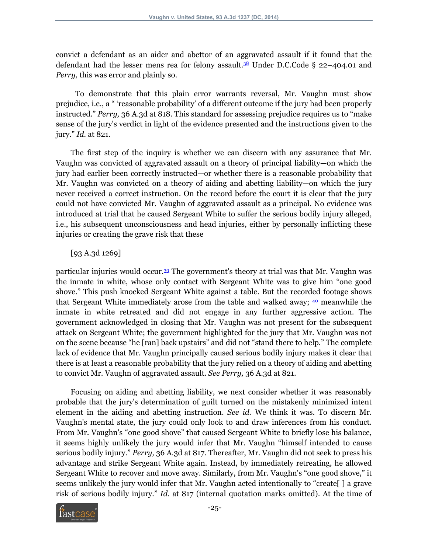<span id="page-24-0"></span>convict a defendant as an aider and abettor of an aggravated assault if it found that the defendant had the lesser mens rea for felony assault.<sup>[38](#page-35-3)</sup> Under D.C.Code § 22-404.01 and *Perry,* this was error and plainly so.

To demonstrate that this plain error warrants reversal, Mr. Vaughn must show prejudice, i.e., a " 'reasonable probability' of a different outcome if the jury had been properly instructed." *Perry,* 36 A.3d at 818. This standard for assessing prejudice requires us to "make sense of the jury's verdict in light of the evidence presented and the instructions given to the jury." *Id.* at 821.

The first step of the inquiry is whether we can discern with any assurance that Mr. Vaughn was convicted of aggravated assault on a theory of principal liability—on which the jury had earlier been correctly instructed—or whether there is a reasonable probability that Mr. Vaughn was convicted on a theory of aiding and abetting liability—on which the jury never received a correct instruction. On the record before the court it is clear that the jury could not have convicted Mr. Vaughn of aggravated assault as a principal. No evidence was introduced at trial that he caused Sergeant White to suffer the serious bodily injury alleged, i.e., his subsequent unconsciousness and head injuries, either by personally inflicting these injuries or creating the grave risk that these

## <span id="page-24-2"></span><span id="page-24-1"></span>[93 A.3d 1269]

particular injuries would occur.[39](#page-35-4) The government's theory at trial was that Mr. Vaughn was the inmate in white, whose only contact with Sergeant White was to give him "one good shove." This push knocked Sergeant White against a table. But the recorded footage shows that Sergeant White immediately arose from the table and walked away;  $\omega$  meanwhile the inmate in white retreated and did not engage in any further aggressive action. The government acknowledged in closing that Mr. Vaughn was not present for the subsequent attack on Sergeant White; the government highlighted for the jury that Mr. Vaughn was not on the scene because "he [ran] back upstairs" and did not "stand there to help." The complete lack of evidence that Mr. Vaughn principally caused serious bodily injury makes it clear that there is at least a reasonable probability that the jury relied on a theory of aiding and abetting to convict Mr. Vaughn of aggravated assault. *See Perry,* 36 A.3d at 821.

Focusing on aiding and abetting liability, we next consider whether it was reasonably probable that the jury's determination of guilt turned on the mistakenly minimized intent element in the aiding and abetting instruction. *See id.* We think it was. To discern Mr. Vaughn's mental state, the jury could only look to and draw inferences from his conduct. From Mr. Vaughn's "one good shove" that caused Sergeant White to briefly lose his balance, it seems highly unlikely the jury would infer that Mr. Vaughn "himself intended to cause serious bodily injury." *Perry,* 36 A.3d at 817. Thereafter, Mr. Vaughn did not seek to press his advantage and strike Sergeant White again. Instead, by immediately retreating, he allowed Sergeant White to recover and move away. Similarly, from Mr. Vaughn's "one good shove," it seems unlikely the jury would infer that Mr. Vaughn acted intentionally to "create[ ] a grave risk of serious bodily injury." *Id.* at 817 (internal quotation marks omitted). At the time of

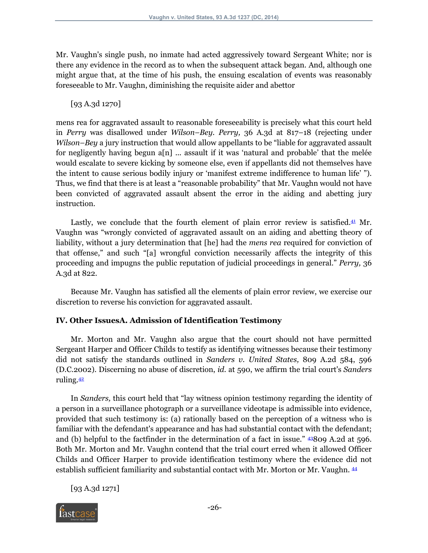Mr. Vaughn's single push, no inmate had acted aggressively toward Sergeant White; nor is there any evidence in the record as to when the subsequent attack began. And, although one might argue that, at the time of his push, the ensuing escalation of events was reasonably foreseeable to Mr. Vaughn, diminishing the requisite aider and abettor

[93 A.3d 1270]

mens rea for aggravated assault to reasonable foreseeability is precisely what this court held in *Perry* was disallowed under *Wilson–Bey. Perry,* 36 A.3d at 817–18 (rejecting under *Wilson–Bey* a jury instruction that would allow appellants to be "liable for aggravated assault for negligently having begun a[n] ... assault if it was 'natural and probable' that the melée would escalate to severe kicking by someone else, even if appellants did not themselves have the intent to cause serious bodily injury or 'manifest extreme indifference to human life' "). Thus, we find that there is at least a "reasonable probability" that Mr. Vaughn would not have been convicted of aggravated assault absent the error in the aiding and abetting jury instruction.

<span id="page-25-0"></span>Lastly, we conclude that the fourth element of plain error review is satisfied. $41$  Mr. Vaughn was "wrongly convicted of aggravated assault on an aiding and abetting theory of liability, without a jury determination that [he] had the *mens rea* required for conviction of that offense," and such "[a] wrongful conviction necessarily affects the integrity of this proceeding and impugns the public reputation of judicial proceedings in general." *Perry,* 36 A.3d at 822.

Because Mr. Vaughn has satisfied all the elements of plain error review, we exercise our discretion to reverse his conviction for aggravated assault.

## **IV. Other IssuesA. Admission of Identification Testimony**

Mr. Morton and Mr. Vaughn also argue that the court should not have permitted Sergeant Harper and Officer Childs to testify as identifying witnesses because their testimony did not satisfy the standards outlined in *Sanders v. United States,* 809 A.2d 584, 596 (D.C.2002). Discerning no abuse of discretion, *id.* at 590, we affirm the trial court's *Sanders* ruling.[42](#page-36-2)

<span id="page-25-1"></span>In *Sanders,* this court held that "lay witness opinion testimony regarding the identity of a person in a surveillance photograph or a surveillance videotape is admissible into evidence, provided that such testimony is: (a) rationally based on the perception of a witness who is familiar with the defendant's appearance and has had substantial contact with the defendant; and (b) helpful to the factfinder in the determination of a fact in issue."  $43809$  $43809$  A.2d at 596. Both Mr. Morton and Mr. Vaughn contend that the trial court erred when it allowed Officer Childs and Officer Harper to provide identification testimony where the evidence did not establish sufficient familiarity and substantial contact with Mr. Morton or Mr. Vaughn. [44](#page-36-4)

<span id="page-25-3"></span><span id="page-25-2"></span>[93 A.3d 1271]

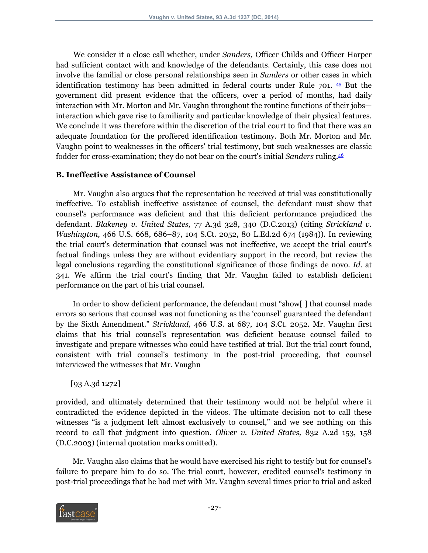<span id="page-26-0"></span>We consider it a close call whether, under *Sanders,* Officer Childs and Officer Harper had sufficient contact with and knowledge of the defendants. Certainly, this case does not involve the familial or close personal relationships seen in *Sanders* or other cases in which identification testimony has been admitted in federal courts under Rule 701. [45](#page-36-5) But the government did present evidence that the officers, over a period of months, had daily interaction with Mr. Morton and Mr. Vaughn throughout the routine functions of their jobs interaction which gave rise to familiarity and particular knowledge of their physical features. We conclude it was therefore within the discretion of the trial court to find that there was an adequate foundation for the proffered identification testimony. Both Mr. Morton and Mr. Vaughn point to weaknesses in the officers' trial testimony, but such weaknesses are classic fodder for cross-examination; they do not bear on the court's initial *Sanders* ruling.[46](#page-37-0)

#### <span id="page-26-1"></span>**B. Ineffective Assistance of Counsel**

Mr. Vaughn also argues that the representation he received at trial was constitutionally ineffective. To establish ineffective assistance of counsel, the defendant must show that counsel's performance was deficient and that this deficient performance prejudiced the defendant. *Blakeney v. United States,* 77 A.3d 328, 340 (D.C.2013) (citing *Strickland v. Washington,* 466 U.S. 668, 686–87, 104 S.Ct. 2052, 80 L.Ed.2d 674 (1984)). In reviewing the trial court's determination that counsel was not ineffective, we accept the trial court's factual findings unless they are without evidentiary support in the record, but review the legal conclusions regarding the constitutional significance of those findings de novo. *Id.* at 341. We affirm the trial court's finding that Mr. Vaughn failed to establish deficient performance on the part of his trial counsel.

In order to show deficient performance, the defendant must "show[ ] that counsel made errors so serious that counsel was not functioning as the 'counsel' guaranteed the defendant by the Sixth Amendment." *Strickland,* 466 U.S. at 687, 104 S.Ct. 2052. Mr. Vaughn first claims that his trial counsel's representation was deficient because counsel failed to investigate and prepare witnesses who could have testified at trial. But the trial court found, consistent with trial counsel's testimony in the post-trial proceeding, that counsel interviewed the witnesses that Mr. Vaughn

[93 A.3d 1272]

provided, and ultimately determined that their testimony would not be helpful where it contradicted the evidence depicted in the videos. The ultimate decision not to call these witnesses "is a judgment left almost exclusively to counsel," and we see nothing on this record to call that judgment into question. *Oliver v. United States,* 832 A.2d 153, 158 (D.C.2003) (internal quotation marks omitted).

Mr. Vaughn also claims that he would have exercised his right to testify but for counsel's failure to prepare him to do so. The trial court, however, credited counsel's testimony in post-trial proceedings that he had met with Mr. Vaughn several times prior to trial and asked

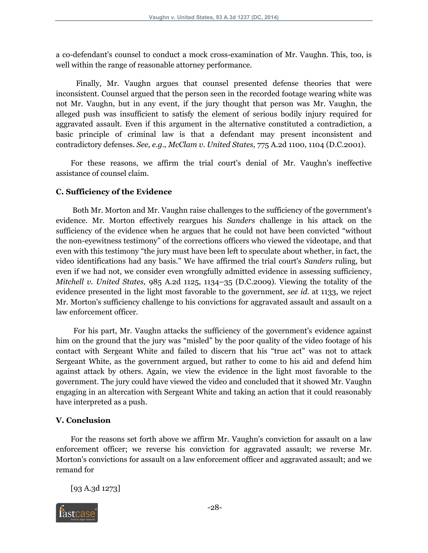a co-defendant's counsel to conduct a mock cross-examination of Mr. Vaughn. This, too, is well within the range of reasonable attorney performance.

Finally, Mr. Vaughn argues that counsel presented defense theories that were inconsistent. Counsel argued that the person seen in the recorded footage wearing white was not Mr. Vaughn, but in any event, if the jury thought that person was Mr. Vaughn, the alleged push was insufficient to satisfy the element of serious bodily injury required for aggravated assault. Even if this argument in the alternative constituted a contradiction, a basic principle of criminal law is that a defendant may present inconsistent and contradictory defenses. *See, e.g., McClam v. United States,* 775 A.2d 1100, 1104 (D.C.2001).

For these reasons, we affirm the trial court's denial of Mr. Vaughn's ineffective assistance of counsel claim.

#### **C. Sufficiency of the Evidence**

Both Mr. Morton and Mr. Vaughn raise challenges to the sufficiency of the government's evidence. Mr. Morton effectively reargues his *Sanders* challenge in his attack on the sufficiency of the evidence when he argues that he could not have been convicted "without the non-eyewitness testimony" of the corrections officers who viewed the videotape, and that even with this testimony "the jury must have been left to speculate about whether, in fact, the video identifications had any basis." We have affirmed the trial court's *Sanders* ruling, but even if we had not, we consider even wrongfully admitted evidence in assessing sufficiency, *Mitchell v. United States,* 985 A.2d 1125, 1134–35 (D.C.2009). Viewing the totality of the evidence presented in the light most favorable to the government, *see id.* at 1133, we reject Mr. Morton's sufficiency challenge to his convictions for aggravated assault and assault on a law enforcement officer.

For his part, Mr. Vaughn attacks the sufficiency of the government's evidence against him on the ground that the jury was "misled" by the poor quality of the video footage of his contact with Sergeant White and failed to discern that his "true act" was not to attack Sergeant White, as the government argued, but rather to come to his aid and defend him against attack by others. Again, we view the evidence in the light most favorable to the government. The jury could have viewed the video and concluded that it showed Mr. Vaughn engaging in an altercation with Sergeant White and taking an action that it could reasonably have interpreted as a push.

#### **V. Conclusion**

For the reasons set forth above we affirm Mr. Vaughn's conviction for assault on a law enforcement officer; we reverse his conviction for aggravated assault; we reverse Mr. Morton's convictions for assault on a law enforcement officer and aggravated assault; and we remand for

[93 A.3d 1273]

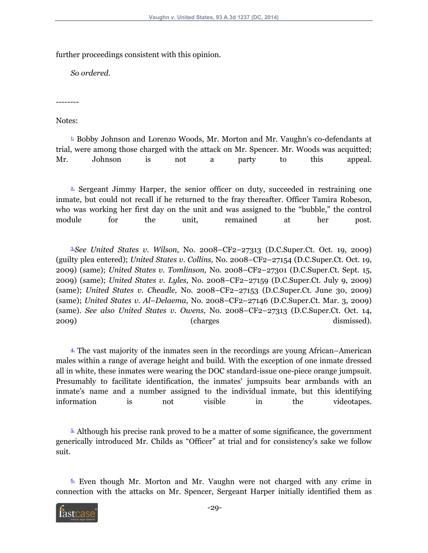further proceedings consistent with this opinion.

*So ordered.*

--------

Notes:

<span id="page-28-0"></span> $\perp$  Bobby Johnson and Lorenzo Woods, Mr. Morton and Mr. Vaughn's co-defendants at trial, were among those charged with the attack on Mr. Spencer. Mr. Woods was acquitted; Mr. Johnson is not a party to this appeal.

<span id="page-28-1"></span> $\triangleq$  Sergeant Jimmy Harper, the senior officer on duty, succeeded in restraining one inmate, but could not recall if he returned to the fray thereafter. Officer Tamira Robeson, who was working her first day on the unit and was assigned to the "bubble," the control module for the unit, remained at her post.

<span id="page-28-2"></span>[3.](#page-2-2)*See United States v. Wilson,* No. 2008–CF2–27313 (D.C.Super.Ct. Oct. 19, 2009) (guilty plea entered); *United States v. Collins,* No. 2008–CF2–27154 (D.C.Super.Ct. Oct. 19, 2009) (same); *United States v. Tomlinson,* No. 2008–CF2–27301 (D.C.Super.Ct. Sept. 15, 2009) (same); *United States v. Lyles,* No. 2008–CF2–27159 (D.C.Super.Ct. July 9, 2009) (same); *United States v. Cheadle,* No. 2008–CF2–27153 (D.C.Super.Ct. June 30, 2009) (same); *United States v. Al–Delaema,* No. 2008–CF2–27146 (D.C.Super.Ct. Mar. 3, 2009) (same). *See also United States v. Owens,* No. 2008–CF2–27313 (D.C.Super.Ct. Oct. 14, 2009) (charges dismissed).

<span id="page-28-3"></span>[4.](#page-3-0) The vast majority of the inmates seen in the recordings are young African–American males within a range of average height and build. With the exception of one inmate dressed all in white, these inmates were wearing the DOC standard-issue one-piece orange jumpsuit. Presumably to facilitate identification, the inmates' jumpsuits bear armbands with an inmate's name and a number assigned to the individual inmate, but this identifying information is not visible in the videotapes.

<span id="page-28-4"></span>[5.](#page-3-1) Although his precise rank proved to be a matter of some significance, the government generically introduced Mr. Childs as "Officer" at trial and for consistency's sake we follow suit.

<span id="page-28-5"></span> $6.$  Even though Mr. Morton and Mr. Vaughn were not charged with any crime in connection with the attacks on Mr. Spencer, Sergeant Harper initially identified them as

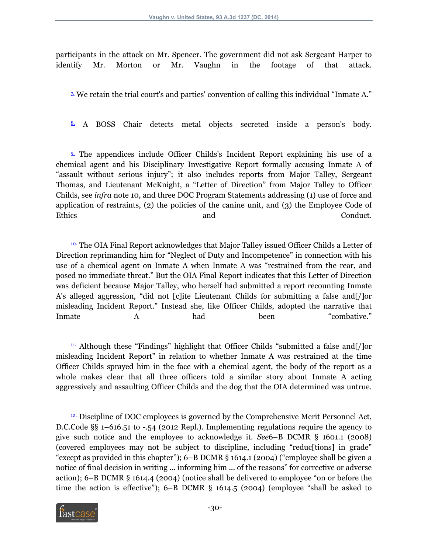participants in the attack on Mr. Spencer. The government did not ask Sergeant Harper to identify Mr. Morton or Mr. Vaughn in the footage of that attack.

<span id="page-29-0"></span> $\overline{2}$  We retain the trial court's and parties' convention of calling this individual "Inmate A."

<span id="page-29-1"></span>[8.](#page-5-0) A BOSS Chair detects metal objects secreted inside a person's body.

<span id="page-29-2"></span>[9.](#page-5-1) The appendices include Officer Childs's Incident Report explaining his use of a chemical agent and his Disciplinary Investigative Report formally accusing Inmate A of "assault without serious injury"; it also includes reports from Major Talley, Sergeant Thomas, and Lieutenant McKnight, a "Letter of Direction" from Major Talley to Officer Childs, see *infra* note 10, and three DOC Program Statements addressing (1) use of force and application of restraints, (2) the policies of the canine unit, and (3) the Employee Code of Ethics and Conduct.

<span id="page-29-3"></span><sup>[10.](#page-6-0)</sup> The OIA Final Report acknowledges that Major Talley issued Officer Childs a Letter of Direction reprimanding him for "Neglect of Duty and Incompetence" in connection with his use of a chemical agent on Inmate A when Inmate A was "restrained from the rear, and posed no immediate threat." But the OIA Final Report indicates that this Letter of Direction was deficient because Major Talley, who herself had submitted a report recounting Inmate A's alleged aggression, "did not [c]ite Lieutenant Childs for submitting a false and[/]or misleading Incident Report." Instead she, like Officer Childs, adopted the narrative that Inmate  $A$  had been "combative."

<span id="page-29-4"></span> $\overline{\mathfrak{p}}$ . Although these "Findings" highlight that Officer Childs "submitted a false and  $\overline{\mathfrak{p}}$  or misleading Incident Report" in relation to whether Inmate A was restrained at the time Officer Childs sprayed him in the face with a chemical agent, the body of the report as a whole makes clear that all three officers told a similar story about Inmate A acting aggressively and assaulting Officer Childs and the dog that the OIA determined was untrue.

<span id="page-29-5"></span> $\frac{12}{12}$  Discipline of DOC employees is governed by the Comprehensive Merit Personnel Act, D.C.Code §§ 1–616.51 to -.54 (2012 Repl.). Implementing regulations require the agency to give such notice and the employee to acknowledge it. *See*6–B DCMR § 1601.1 (2008) (covered employees may not be subject to discipline, including "reduc[tions] in grade" "except as provided in this chapter"); 6–B DCMR § 1614.1 (2004) ("employee shall be given a notice of final decision in writing ... informing him ... of the reasons" for corrective or adverse action); 6–B DCMR § 1614.4 (2004) (notice shall be delivered to employee "on or before the time the action is effective"); 6–B DCMR § 1614.5 (2004) (employee "shall be asked to

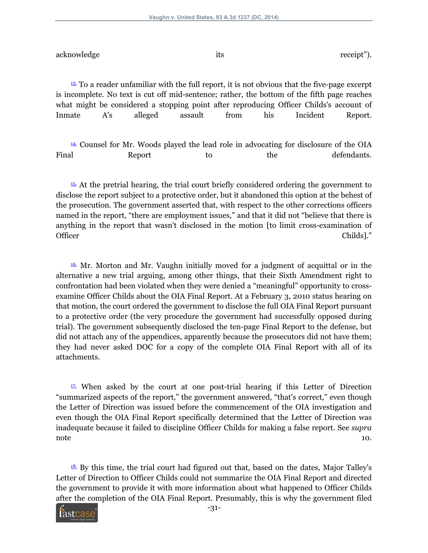acknowledge its receipt").

<span id="page-30-0"></span><sup>[13.](#page-7-0)</sup> To a reader unfamiliar with the full report, it is not obvious that the five-page excerpt is incomplete. No text is cut off mid-sentence; rather, the bottom of the fifth page reaches what might be considered a stopping point after reproducing Officer Childs's account of Inmate A's alleged assault from his Incident Report.

<span id="page-30-1"></span>[14.](#page-8-0) Counsel for Mr. Woods played the lead role in advocating for disclosure of the OIA Final Report to the defendants.

<span id="page-30-2"></span>[15.](#page-8-1) At the pretrial hearing, the trial court briefly considered ordering the government to disclose the report subject to a protective order, but it abandoned this option at the behest of the prosecution. The government asserted that, with respect to the other corrections officers named in the report, "there are employment issues," and that it did not "believe that there is anything in the report that wasn't disclosed in the motion [to limit cross-examination of Officer Childs]."

<span id="page-30-3"></span>[16.](#page-8-2) Mr. Morton and Mr. Vaughn initially moved for a judgment of acquittal or in the alternative a new trial arguing, among other things, that their Sixth Amendment right to confrontation had been violated when they were denied a "meaningful" opportunity to crossexamine Officer Childs about the OIA Final Report. At a February 3, 2010 status hearing on that motion, the court ordered the government to disclose the full OIA Final Report pursuant to a protective order (the very procedure the government had successfully opposed during trial). The government subsequently disclosed the ten-page Final Report to the defense, but did not attach any of the appendices, apparently because the prosecutors did not have them; they had never asked DOC for a copy of the complete OIA Final Report with all of its attachments.

<span id="page-30-4"></span> $17.$  When asked by the court at one post-trial hearing if this Letter of Direction "summarized aspects of the report," the government answered, "that's correct," even though the Letter of Direction was issued before the commencement of the OIA investigation and even though the OIA Final Report specifically determined that the Letter of Direction was inadequate because it failed to discipline Officer Childs for making a false report. See *supra* note that the contract of the contract of the contract of the contract of the contract of the contract of the contract of the contract of the contract of the contract of the contract of the contract of the contract of the

<span id="page-30-5"></span> $18$ . By this time, the trial court had figured out that, based on the dates, Major Talley's Letter of Direction to Officer Childs could not summarize the OIA Final Report and directed the government to provide it with more information about what happened to Officer Childs after the completion of the OIA Final Report. Presumably, this is why the government filed

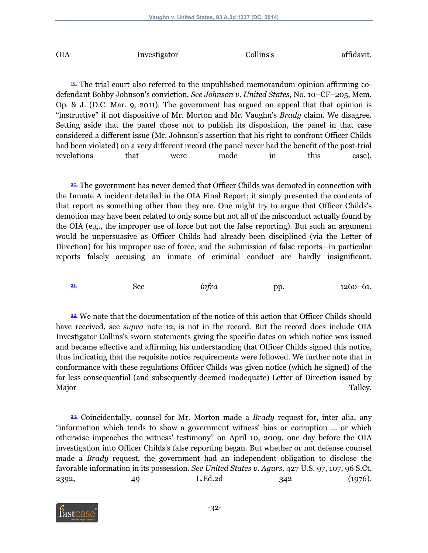| <b>OIA</b> | Investigator | Collins's | affidavit. |
|------------|--------------|-----------|------------|
|            |              |           |            |

<span id="page-31-0"></span>[19.](#page-10-0) The trial court also referred to the unpublished memorandum opinion affirming codefendant Bobby Johnson's conviction. *See Johnson v. United States,* No. 10–CF–205, Mem. Op. & J. (D.C. Mar. 9, 2011). The government has argued on appeal that that opinion is "instructive" if not dispositive of Mr. Morton and Mr. Vaughn's *Brady* claim. We disagree. Setting aside that the panel chose not to publish its disposition, the panel in that case considered a different issue (Mr. Johnson's assertion that his right to confront Officer Childs had been violated) on a very different record (the panel never had the benefit of the post-trial revelations that were made in this case).

<span id="page-31-1"></span><sup>20</sup>. The government has never denied that Officer Childs was demoted in connection with the Inmate A incident detailed in the OIA Final Report; it simply presented the contents of that report as something other than they are. One might try to argue that Officer Childs's demotion may have been related to only some but not all of the misconduct actually found by the OIA (e.g., the improper use of force but not the false reporting). But such an argument would be unpersuasive as Officer Childs had already been disciplined (via the Letter of Direction) for his improper use of force, and the submission of false reports—in particular reports falsely accusing an inmate of criminal conduct—are hardly insignificant.

<span id="page-31-2"></span>[21.](#page-12-1) See *infra* pp. 1260–61.

<span id="page-31-3"></span><sup>22</sup>. We note that the documentation of the notice of this action that Officer Childs should have received, see *supra* note 12, is not in the record. But the record does include OIA Investigator Collins's sworn statements giving the specific dates on which notice was issued and became effective and affirming his understanding that Officer Childs signed this notice, thus indicating that the requisite notice requirements were followed. We further note that in conformance with these regulations Officer Childs was given notice (which he signed) of the far less consequential (and subsequently deemed inadequate) Letter of Direction issued by Major Talley.

<span id="page-31-4"></span>[23.](#page-12-3) Coincidentally, counsel for Mr. Morton made a *Brady* request for, inter alia, any "information which tends to show a government witness' bias or corruption ... or which otherwise impeaches the witness' testimony" on April 10, 2009, one day before the OIA investigation into Officer Childs's false reporting began. But whether or not defense counsel made a *Brady* request, the government had an independent obligation to disclose the favorable information in its possession. *See United States v. Agurs,* 427 U.S. 97, 107, 96 S.Ct. 2392, 49 L.Ed.2d 342 (1976).

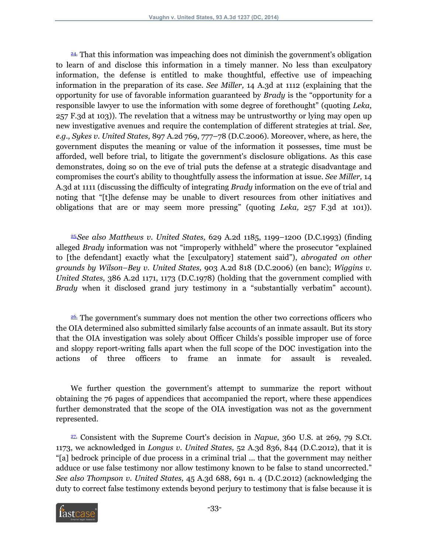<span id="page-32-0"></span>[24.](#page-14-0) That this information was impeaching does not diminish the government's obligation to learn of and disclose this information in a timely manner. No less than exculpatory information, the defense is entitled to make thoughtful, effective use of impeaching information in the preparation of its case. *See Miller,* 14 A.3d at 1112 (explaining that the opportunity for use of favorable information guaranteed by *Brady* is the "opportunity for a responsible lawyer to use the information with some degree of forethought" (quoting *Leka,* 257 F.3d at 103)). The revelation that a witness may be untrustworthy or lying may open up new investigative avenues and require the contemplation of different strategies at trial. *See, e.g., Sykes v. United States,* 897 A.2d 769, 777–78 (D.C.2006). Moreover, where, as here, the government disputes the meaning or value of the information it possesses, time must be afforded, well before trial, to litigate the government's disclosure obligations. As this case demonstrates, doing so on the eve of trial puts the defense at a strategic disadvantage and compromises the court's ability to thoughtfully assess the information at issue. *See Miller,* 14 A.3d at 1111 (discussing the difficulty of integrating *Brady* information on the eve of trial and noting that "[t]he defense may be unable to divert resources from other initiatives and obligations that are or may seem more pressing" (quoting *Leka,* 257 F.3d at 101)).

<span id="page-32-1"></span>[25.](#page-15-0)*See also Matthews v. United States,* 629 A.2d 1185, 1199–1200 (D.C.1993) (finding alleged *Brady* information was not "improperly withheld" where the prosecutor "explained to [the defendant] exactly what the [exculpatory] statement said"), *abrogated on other grounds by Wilson–Bey v. United States,* 903 A.2d 818 (D.C.2006) (en banc); *Wiggins v. United States,* 386 A.2d 1171, 1173 (D.C.1978) (holding that the government complied with *Brady* when it disclosed grand jury testimony in a "substantially verbatim" account).

<span id="page-32-2"></span>[26.](#page-16-0) The government's summary does not mention the other two corrections officers who the OIA determined also submitted similarly false accounts of an inmate assault. But its story that the OIA investigation was solely about Officer Childs's possible improper use of force and sloppy report-writing falls apart when the full scope of the DOC investigation into the actions of three officers to frame an inmate for assault is revealed.

We further question the government's attempt to summarize the report without obtaining the 76 pages of appendices that accompanied the report, where these appendices further demonstrated that the scope of the OIA investigation was not as the government represented.

<span id="page-32-3"></span>[27.](#page-17-0) Consistent with the Supreme Court's decision in *Napue,* 360 U.S. at 269, 79 S.Ct. 1173, we acknowledged in *Longus v. United States,* 52 A.3d 836, 844 (D.C.2012), that it is "[a] bedrock principle of due process in a criminal trial ... that the government may neither adduce or use false testimony nor allow testimony known to be false to stand uncorrected." *See also Thompson v. United States,* 45 A.3d 688, 691 n. 4 (D.C.2012) (acknowledging the duty to correct false testimony extends beyond perjury to testimony that is false because it is

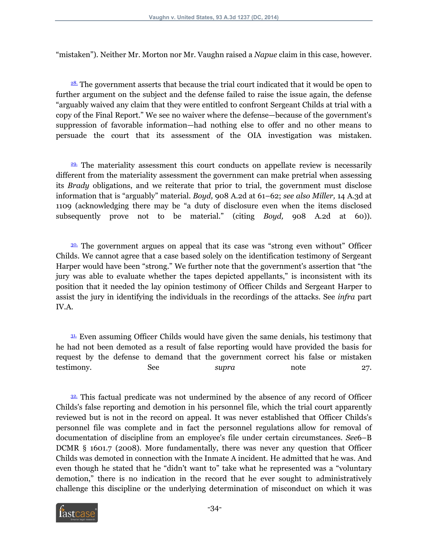"mistaken"). Neither Mr. Morton nor Mr. Vaughn raised a *Napue* claim in this case, however.

<span id="page-33-0"></span><sup>28</sup>. The government asserts that because the trial court indicated that it would be open to further argument on the subject and the defense failed to raise the issue again, the defense "arguably waived any claim that they were entitled to confront Sergeant Childs at trial with a copy of the Final Report." We see no waiver where the defense—because of the government's suppression of favorable information—had nothing else to offer and no other means to persuade the court that its assessment of the OIA investigation was mistaken.

<span id="page-33-1"></span>[29.](#page-19-0) The materiality assessment this court conducts on appellate review is necessarily different from the materiality assessment the government can make pretrial when assessing its *Brady* obligations, and we reiterate that prior to trial, the government must disclose information that is "arguably" material. *Boyd,* 908 A.2d at 61–62; *see also Miller,* 14 A.3d at 1109 (acknowledging there may be "a duty of disclosure even when the items disclosed subsequently prove not to be material." (citing *Boyd,* 908 A.2d at 60)).

<span id="page-33-2"></span>[30.](#page-19-1) The government argues on appeal that its case was "strong even without" Officer Childs. We cannot agree that a case based solely on the identification testimony of Sergeant Harper would have been "strong." We further note that the government's assertion that "the jury was able to evaluate whether the tapes depicted appellants," is inconsistent with its position that it needed the lay opinion testimony of Officer Childs and Sergeant Harper to assist the jury in identifying the individuals in the recordings of the attacks. See *infra* part IV.A.

<span id="page-33-3"></span>[31.](#page-20-0) Even assuming Officer Childs would have given the same denials, his testimony that he had not been demoted as a result of false reporting would have provided the basis for request by the defense to demand that the government correct his false or mistaken testimony. See *supra* note 27.

<span id="page-33-4"></span>[32.](#page-21-0) This factual predicate was not undermined by the absence of any record of Officer Childs's false reporting and demotion in his personnel file, which the trial court apparently reviewed but is not in the record on appeal. It was never established that Officer Childs's personnel file was complete and in fact the personnel regulations allow for removal of documentation of discipline from an employee's file under certain circumstances. *See*6–B DCMR § 1601.7 (2008). More fundamentally, there was never any question that Officer Childs was demoted in connection with the Inmate A incident. He admitted that he was. And even though he stated that he "didn't want to" take what he represented was a "voluntary demotion," there is no indication in the record that he ever sought to administratively challenge this discipline or the underlying determination of misconduct on which it was

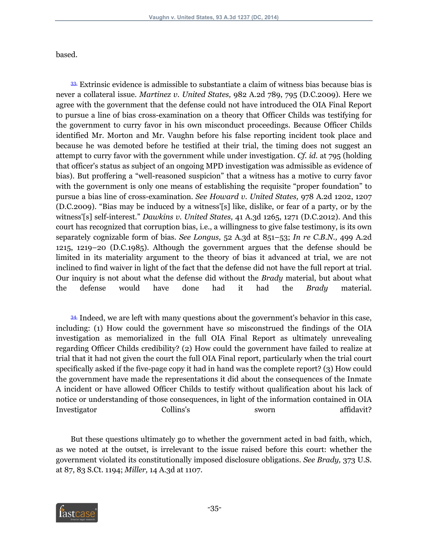based.

<span id="page-34-0"></span>[33.](#page-21-1) Extrinsic evidence is admissible to substantiate a claim of witness bias because bias is never a collateral issue. *Martinez v. United States,* 982 A.2d 789, 795 (D.C.2009). Here we agree with the government that the defense could not have introduced the OIA Final Report to pursue a line of bias cross-examination on a theory that Officer Childs was testifying for the government to curry favor in his own misconduct proceedings. Because Officer Childs identified Mr. Morton and Mr. Vaughn before his false reporting incident took place and because he was demoted before he testified at their trial, the timing does not suggest an attempt to curry favor with the government while under investigation. *Cf. id.* at 795 (holding that officer's status as subject of an ongoing MPD investigation was admissible as evidence of bias). But proffering a "well-reasoned suspicion" that a witness has a motive to curry favor with the government is only one means of establishing the requisite "proper foundation" to pursue a bias line of cross-examination. *See Howard v. United States,* 978 A.2d 1202, 1207 (D.C.2009). "Bias may be induced by a witness'[s] like, dislike, or fear of a party, or by the witness'[s] self-interest." *Dawkins v. United States,* 41 A.3d 1265, 1271 (D.C.2012). And this court has recognized that corruption bias, i.e., a willingness to give false testimony, is its own separately cognizable form of bias. *See Longus,* 52 A.3d at 851–53; *In re C.B.N.,* 499 A.2d 1215, 1219–20 (D.C.1985). Although the government argues that the defense should be limited in its materiality argument to the theory of bias it advanced at trial, we are not inclined to find waiver in light of the fact that the defense did not have the full report at trial. Our inquiry is not about what the defense did without the *Brady* material, but about what the defense would have done had it had the *Brady* material.

<span id="page-34-1"></span>[34.](#page-22-0) Indeed, we are left with many questions about the government's behavior in this case, including: (1) How could the government have so misconstrued the findings of the OIA investigation as memorialized in the full OIA Final Report as ultimately unrevealing regarding Officer Childs credibility? (2) How could the government have failed to realize at trial that it had not given the court the full OIA Final report, particularly when the trial court specifically asked if the five-page copy it had in hand was the complete report? (3) How could the government have made the representations it did about the consequences of the Inmate A incident or have allowed Officer Childs to testify without qualification about his lack of notice or understanding of those consequences, in light of the information contained in OIA Investigator Collins's sworn affidavit?

But these questions ultimately go to whether the government acted in bad faith, which, as we noted at the outset, is irrelevant to the issue raised before this court: whether the government violated its constitutionally imposed disclosure obligations. *See Brady,* 373 U.S. at 87, 83 S.Ct. 1194; *Miller,* 14 A.3d at 1107.

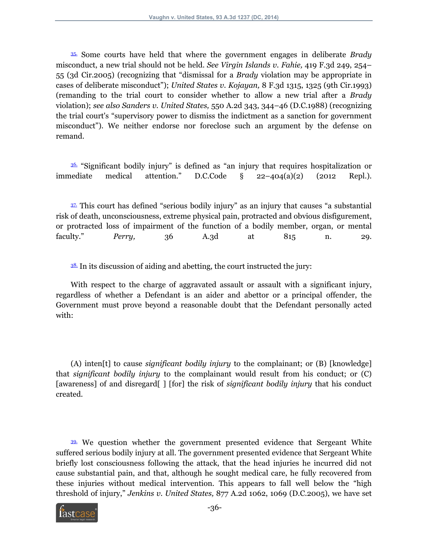<span id="page-35-0"></span>[35.](#page-22-1) Some courts have held that where the government engages in deliberate *Brady* misconduct, a new trial should not be held. *See Virgin Islands v. Fahie,* 419 F.3d 249, 254– 55 (3d Cir.2005) (recognizing that "dismissal for a *Brady* violation may be appropriate in cases of deliberate misconduct"); *United States v. Kojayan,* 8 F.3d 1315, 1325 (9th Cir.1993) (remanding to the trial court to consider whether to allow a new trial after a *Brady* violation); *see also Sanders v. United States,* 550 A.2d 343, 344–46 (D.C.1988) (recognizing the trial court's "supervisory power to dismiss the indictment as a sanction for government misconduct"). We neither endorse nor foreclose such an argument by the defense on remand.

<span id="page-35-1"></span>[36.](#page-23-0) "Significant bodily injury" is defined as "an injury that requires hospitalization or immediate medical attention." D.C.Code § 22–404(a)(2) (2012 Repl.).

<span id="page-35-2"></span>[37.](#page-23-1) This court has defined "serious bodily injury" as an injury that causes "a substantial risk of death, unconsciousness, extreme physical pain, protracted and obvious disfigurement, or protracted loss of impairment of the function of a bodily member, organ, or mental faculty." *Perry,* 36 A.3d at 815 n. 29.

<span id="page-35-3"></span> $38$ . In its discussion of aiding and abetting, the court instructed the jury:

With respect to the charge of aggravated assault or assault with a significant injury, regardless of whether a Defendant is an aider and abettor or a principal offender, the Government must prove beyond a reasonable doubt that the Defendant personally acted with:

(A) inten[t] to cause *significant bodily injury* to the complainant; or (B) [knowledge] that *significant bodily injury* to the complainant would result from his conduct; or (C) [awareness] of and disregard[ ] [for] the risk of *significant bodily injury* that his conduct created.

<span id="page-35-4"></span>[39.](#page-24-1) We question whether the government presented evidence that Sergeant White suffered serious bodily injury at all. The government presented evidence that Sergeant White briefly lost consciousness following the attack, that the head injuries he incurred did not cause substantial pain, and that, although he sought medical care, he fully recovered from these injuries without medical intervention. This appears to fall well below the "high threshold of injury," *Jenkins v. United States,* 877 A.2d 1062, 1069 (D.C.2005), we have set

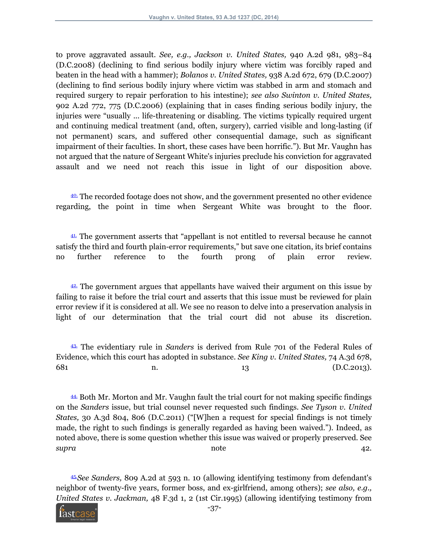to prove aggravated assault. *See, e.g., Jackson v. United States,* 940 A.2d 981, 983–84 (D.C.2008) (declining to find serious bodily injury where victim was forcibly raped and beaten in the head with a hammer); *Bolanos v. United States,* 938 A.2d 672, 679 (D.C.2007) (declining to find serious bodily injury where victim was stabbed in arm and stomach and required surgery to repair perforation to his intestine); *see also Swinton v. United States,* 902 A.2d 772, 775 (D.C.2006) (explaining that in cases finding serious bodily injury, the injuries were "usually ... life-threatening or disabling. The victims typically required urgent and continuing medical treatment (and, often, surgery), carried visible and long-lasting (if not permanent) scars, and suffered other consequential damage, such as significant impairment of their faculties. In short, these cases have been horrific."). But Mr. Vaughn has not argued that the nature of Sergeant White's injuries preclude his conviction for aggravated assault and we need not reach this issue in light of our disposition above.

<span id="page-36-0"></span>[40.](#page-24-2) The recorded footage does not show, and the government presented no other evidence regarding, the point in time when Sergeant White was brought to the floor.

<span id="page-36-1"></span>[41.](#page-25-0) The government asserts that "appellant is not entitled to reversal because he cannot satisfy the third and fourth plain-error requirements," but save one citation, its brief contains no further reference to the fourth prong of plain error review.

<span id="page-36-2"></span> $42$ . The government argues that appellants have waived their argument on this issue by failing to raise it before the trial court and asserts that this issue must be reviewed for plain error review if it is considered at all. We see no reason to delve into a preservation analysis in light of our determination that the trial court did not abuse its discretion.

<span id="page-36-3"></span>[43.](#page-25-2) The evidentiary rule in *Sanders* is derived from Rule 701 of the Federal Rules of Evidence, which this court has adopted in substance. *See King v. United States,* 74 A.3d 678, 681 n. 2001 n. 2002 n. 2003).

<span id="page-36-4"></span>[44.](#page-25-3) Both Mr. Morton and Mr. Vaughn fault the trial court for not making specific findings on the *Sanders* issue, but trial counsel never requested such findings. *See Tyson v. United States,* 30 A.3d 804, 806 (D.C.2011) ("[W]hen a request for special findings is not timely made, the right to such findings is generally regarded as having been waived."). Indeed, as noted above, there is some question whether this issue was waived or properly preserved. See *supra* note 42.

<span id="page-36-5"></span>[45.](#page-26-0)*See Sanders,* 809 A.2d at 593 n. 10 (allowing identifying testimony from defendant's neighbor of twenty-five years, former boss, and ex-girlfriend, among others); *see also, e.g., United States v. Jackman,* 48 F.3d 1, 2 (1st Cir.1995) (allowing identifying testimony from